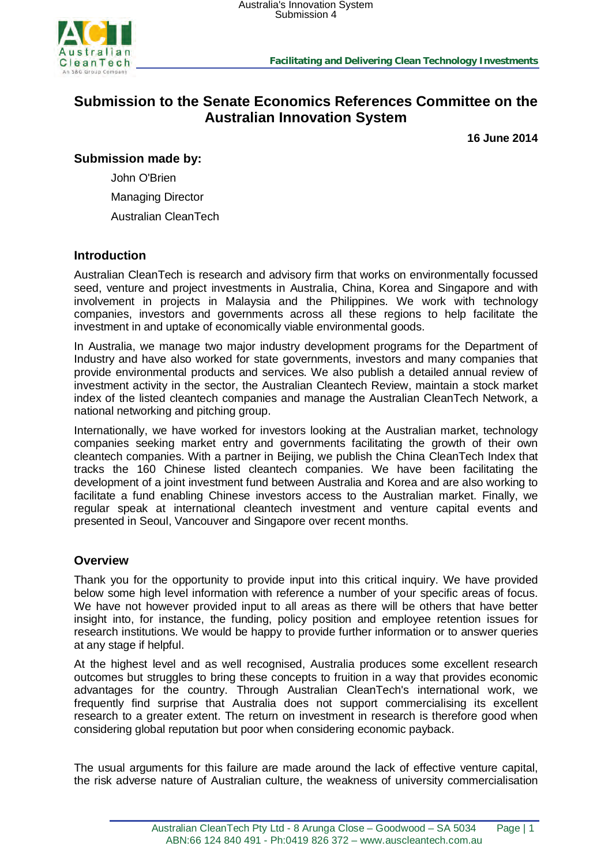

# **Submission to the Senate Economics References Committee on the Australian Innovation System**

**16 June 2014**

**Submission made by:** 

John O'Brien

Managing Director

Australian CleanTech

### **Introduction**

Australian CleanTech is research and advisory firm that works on environmentally focussed seed, venture and project investments in Australia, China, Korea and Singapore and with involvement in projects in Malaysia and the Philippines. We work with technology companies, investors and governments across all these regions to help facilitate the investment in and uptake of economically viable environmental goods.

In Australia, we manage two major industry development programs for the Department of Industry and have also worked for state governments, investors and many companies that provide environmental products and services. We also publish a detailed annual review of investment activity in the sector, the Australian Cleantech Review, maintain a stock market index of the listed cleantech companies and manage the Australian CleanTech Network, a national networking and pitching group.

Internationally, we have worked for investors looking at the Australian market, technology companies seeking market entry and governments facilitating the growth of their own cleantech companies. With a partner in Beijing, we publish the China CleanTech Index that tracks the 160 Chinese listed cleantech companies. We have been facilitating the development of a joint investment fund between Australia and Korea and are also working to facilitate a fund enabling Chinese investors access to the Australian market. Finally, we regular speak at international cleantech investment and venture capital events and presented in Seoul, Vancouver and Singapore over recent months.

### **Overview**

Thank you for the opportunity to provide input into this critical inquiry. We have provided below some high level information with reference a number of your specific areas of focus. We have not however provided input to all areas as there will be others that have better insight into, for instance, the funding, policy position and employee retention issues for research institutions. We would be happy to provide further information or to answer queries at any stage if helpful.

At the highest level and as well recognised, Australia produces some excellent research outcomes but struggles to bring these concepts to fruition in a way that provides economic advantages for the country. Through Australian CleanTech's international work, we frequently find surprise that Australia does not support commercialising its excellent research to a greater extent. The return on investment in research is therefore good when considering global reputation but poor when considering economic payback.

The usual arguments for this failure are made around the lack of effective venture capital, the risk adverse nature of Australian culture, the weakness of university commercialisation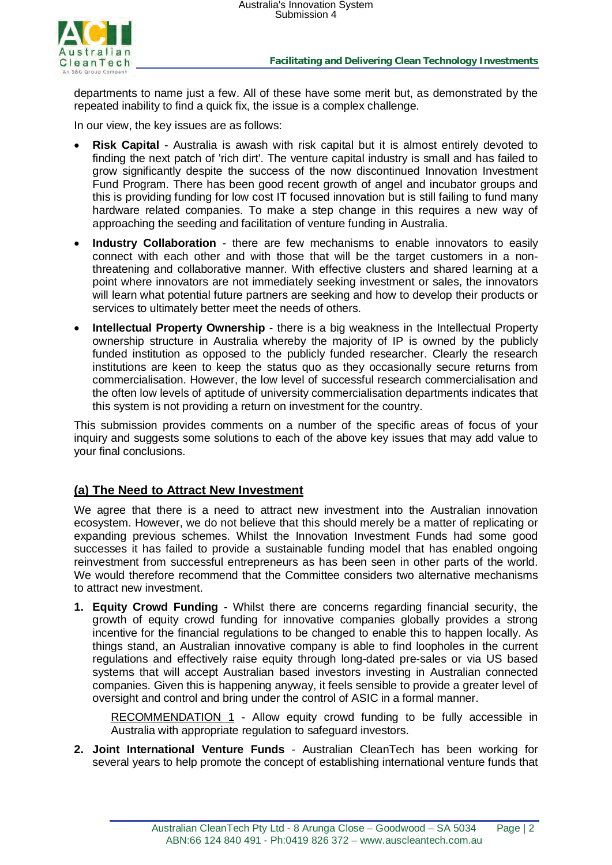

departments to name just a few. All of these have some merit but, as demonstrated by the repeated inability to find a quick fix, the issue is a complex challenge.

In our view, the key issues are as follows:

- **Risk Capital** Australia is awash with risk capital but it is almost entirely devoted to finding the next patch of 'rich dirt'. The venture capital industry is small and has failed to grow significantly despite the success of the now discontinued Innovation Investment Fund Program. There has been good recent growth of angel and incubator groups and this is providing funding for low cost IT focused innovation but is still failing to fund many hardware related companies. To make a step change in this requires a new way of approaching the seeding and facilitation of venture funding in Australia.
- **Industry Collaboration** there are few mechanisms to enable innovators to easily connect with each other and with those that will be the target customers in a nonthreatening and collaborative manner. With effective clusters and shared learning at a point where innovators are not immediately seeking investment or sales, the innovators will learn what potential future partners are seeking and how to develop their products or services to ultimately better meet the needs of others.
- **Intellectual Property Ownership** there is a big weakness in the Intellectual Property ownership structure in Australia whereby the majority of IP is owned by the publicly funded institution as opposed to the publicly funded researcher. Clearly the research institutions are keen to keep the status quo as they occasionally secure returns from commercialisation. However, the low level of successful research commercialisation and the often low levels of aptitude of university commercialisation departments indicates that this system is not providing a return on investment for the country.

This submission provides comments on a number of the specific areas of focus of your inquiry and suggests some solutions to each of the above key issues that may add value to your final conclusions.

### **(a) The Need to Attract New Investment**

We agree that there is a need to attract new investment into the Australian innovation ecosystem. However, we do not believe that this should merely be a matter of replicating or expanding previous schemes. Whilst the Innovation Investment Funds had some good successes it has failed to provide a sustainable funding model that has enabled ongoing reinvestment from successful entrepreneurs as has been seen in other parts of the world. We would therefore recommend that the Committee considers two alternative mechanisms to attract new investment.

**1. Equity Crowd Funding** - Whilst there are concerns regarding financial security, the growth of equity crowd funding for innovative companies globally provides a strong incentive for the financial regulations to be changed to enable this to happen locally. As things stand, an Australian innovative company is able to find loopholes in the current regulations and effectively raise equity through long-dated pre-sales or via US based systems that will accept Australian based investors investing in Australian connected companies. Given this is happening anyway, it feels sensible to provide a greater level of oversight and control and bring under the control of ASIC in a formal manner.

RECOMMENDATION 1 - Allow equity crowd funding to be fully accessible in Australia with appropriate regulation to safeguard investors.

**2. Joint International Venture Funds** - Australian CleanTech has been working for several years to help promote the concept of establishing international venture funds that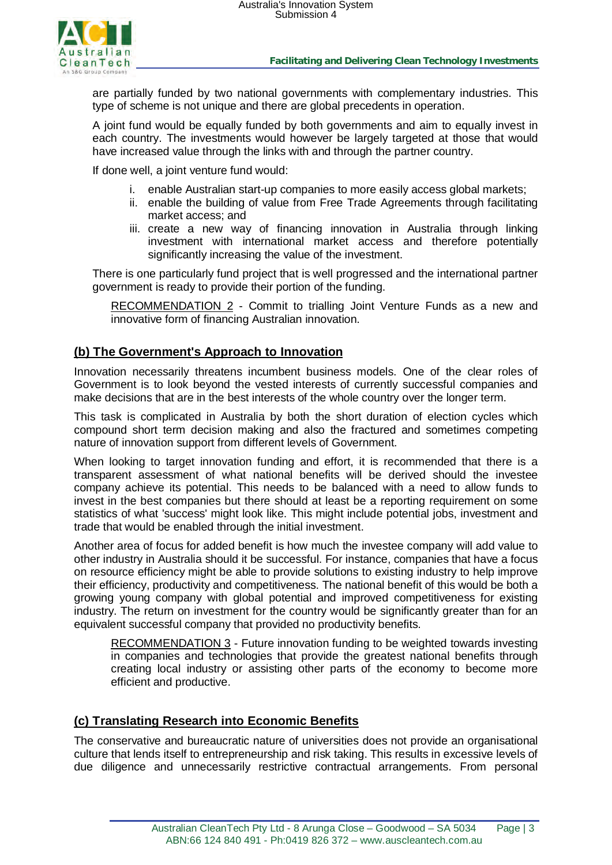

are partially funded by two national governments with complementary industries. This type of scheme is not unique and there are global precedents in operation.

A joint fund would be equally funded by both governments and aim to equally invest in each country. The investments would however be largely targeted at those that would have increased value through the links with and through the partner country.

If done well, a joint venture fund would:

- enable Australian start-up companies to more easily access global markets;
- ii. enable the building of value from Free Trade Agreements through facilitating market access; and
- iii. create a new way of financing innovation in Australia through linking investment with international market access and therefore potentially significantly increasing the value of the investment.

There is one particularly fund project that is well progressed and the international partner government is ready to provide their portion of the funding.

RECOMMENDATION 2 - Commit to trialling Joint Venture Funds as a new and innovative form of financing Australian innovation.

#### **(b) The Government's Approach to Innovation**

Innovation necessarily threatens incumbent business models. One of the clear roles of Government is to look beyond the vested interests of currently successful companies and make decisions that are in the best interests of the whole country over the longer term.

This task is complicated in Australia by both the short duration of election cycles which compound short term decision making and also the fractured and sometimes competing nature of innovation support from different levels of Government.

When looking to target innovation funding and effort, it is recommended that there is a transparent assessment of what national benefits will be derived should the investee company achieve its potential. This needs to be balanced with a need to allow funds to invest in the best companies but there should at least be a reporting requirement on some statistics of what 'success' might look like. This might include potential jobs, investment and trade that would be enabled through the initial investment.

Another area of focus for added benefit is how much the investee company will add value to other industry in Australia should it be successful. For instance, companies that have a focus on resource efficiency might be able to provide solutions to existing industry to help improve their efficiency, productivity and competitiveness. The national benefit of this would be both a growing young company with global potential and improved competitiveness for existing industry. The return on investment for the country would be significantly greater than for an equivalent successful company that provided no productivity benefits.

RECOMMENDATION 3 - Future innovation funding to be weighted towards investing in companies and technologies that provide the greatest national benefits through creating local industry or assisting other parts of the economy to become more efficient and productive.

#### **(c) Translating Research into Economic Benefits**

The conservative and bureaucratic nature of universities does not provide an organisational culture that lends itself to entrepreneurship and risk taking. This results in excessive levels of due diligence and unnecessarily restrictive contractual arrangements. From personal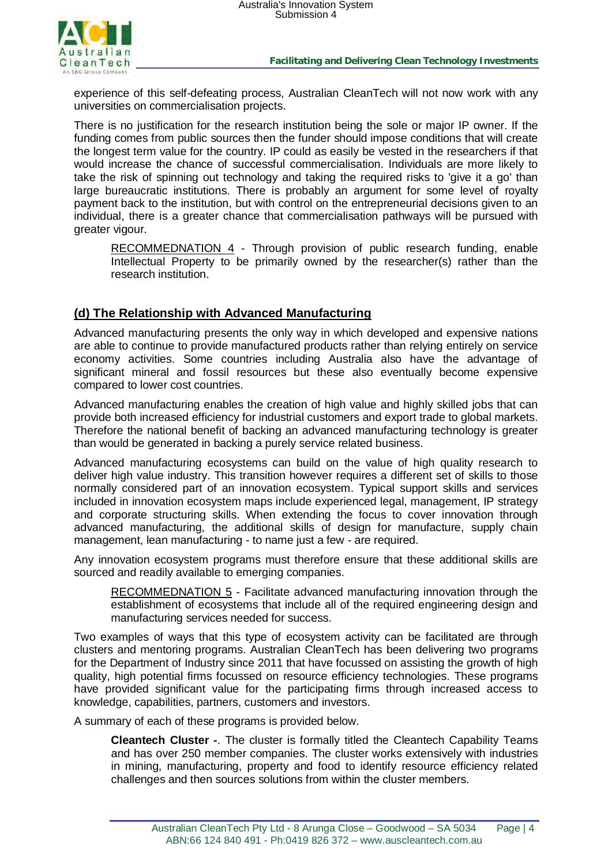

experience of this self-defeating process, Australian CleanTech will not now work with any universities on commercialisation projects.

There is no justification for the research institution being the sole or major IP owner. If the funding comes from public sources then the funder should impose conditions that will create the longest term value for the country. IP could as easily be vested in the researchers if that would increase the chance of successful commercialisation. Individuals are more likely to take the risk of spinning out technology and taking the required risks to 'give it a go' than large bureaucratic institutions. There is probably an argument for some level of royalty payment back to the institution, but with control on the entrepreneurial decisions given to an individual, there is a greater chance that commercialisation pathways will be pursued with greater vigour.

RECOMMEDNATION 4 - Through provision of public research funding, enable Intellectual Property to be primarily owned by the researcher(s) rather than the research institution.

## **(d) The Relationship with Advanced Manufacturing**

Advanced manufacturing presents the only way in which developed and expensive nations are able to continue to provide manufactured products rather than relying entirely on service economy activities. Some countries including Australia also have the advantage of significant mineral and fossil resources but these also eventually become expensive compared to lower cost countries.

Advanced manufacturing enables the creation of high value and highly skilled jobs that can provide both increased efficiency for industrial customers and export trade to global markets. Therefore the national benefit of backing an advanced manufacturing technology is greater than would be generated in backing a purely service related business.

Advanced manufacturing ecosystems can build on the value of high quality research to deliver high value industry. This transition however requires a different set of skills to those normally considered part of an innovation ecosystem. Typical support skills and services included in innovation ecosystem maps include experienced legal, management, IP strategy and corporate structuring skills. When extending the focus to cover innovation through advanced manufacturing, the additional skills of design for manufacture, supply chain management, lean manufacturing - to name just a few - are required.

Any innovation ecosystem programs must therefore ensure that these additional skills are sourced and readily available to emerging companies.

RECOMMEDNATION 5 - Facilitate advanced manufacturing innovation through the establishment of ecosystems that include all of the required engineering design and manufacturing services needed for success.

Two examples of ways that this type of ecosystem activity can be facilitated are through clusters and mentoring programs. Australian CleanTech has been delivering two programs for the Department of Industry since 2011 that have focussed on assisting the growth of high quality, high potential firms focussed on resource efficiency technologies. These programs have provided significant value for the participating firms through increased access to knowledge, capabilities, partners, customers and investors.

A summary of each of these programs is provided below.

**Cleantech Cluster -**. The cluster is formally titled the Cleantech Capability Teams and has over 250 member companies. The cluster works extensively with industries in mining, manufacturing, property and food to identify resource efficiency related challenges and then sources solutions from within the cluster members.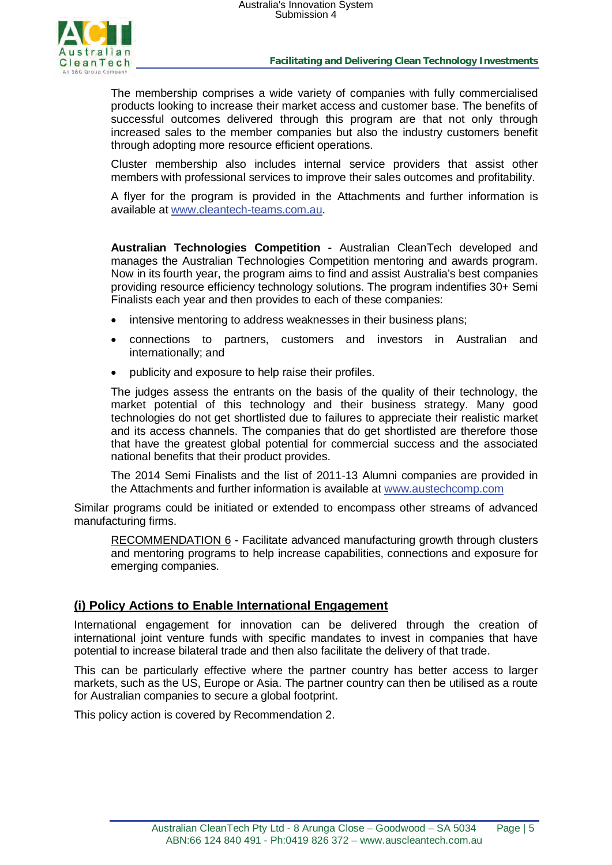

**Facilitating and Delivering Clean Technology Investments**

The membership comprises a wide variety of companies with fully commercialised products looking to increase their market access and customer base. The benefits of successful outcomes delivered through this program are that not only through increased sales to the member companies but also the industry customers benefit through adopting more resource efficient operations.

Cluster membership also includes internal service providers that assist other members with professional services to improve their sales outcomes and profitability.

A flyer for the program is provided in the Attachments and further information is available at [www.cleantech-teams.com.au.](http://www.cleantech-teams.com.au/)

**Australian Technologies Competition -** Australian CleanTech developed and manages the Australian Technologies Competition mentoring and awards program. Now in its fourth year, the program aims to find and assist Australia's best companies providing resource efficiency technology solutions. The program indentifies 30+ Semi Finalists each year and then provides to each of these companies:

- intensive mentoring to address weaknesses in their business plans;
- connections to partners, customers and investors in Australian and internationally; and
- publicity and exposure to help raise their profiles.

The judges assess the entrants on the basis of the quality of their technology, the market potential of this technology and their business strategy. Many good technologies do not get shortlisted due to failures to appreciate their realistic market and its access channels. The companies that do get shortlisted are therefore those that have the greatest global potential for commercial success and the associated national benefits that their product provides.

The 2014 Semi Finalists and the list of 2011-13 Alumni companies are provided in the Attachments and further information is available at [www.austechcomp.com](http://www.austechcomp.com/) 

Similar programs could be initiated or extended to encompass other streams of advanced manufacturing firms.

RECOMMENDATION 6 - Facilitate advanced manufacturing growth through clusters and mentoring programs to help increase capabilities, connections and exposure for emerging companies.

#### **(i) Policy Actions to Enable International Engagement**

International engagement for innovation can be delivered through the creation of international joint venture funds with specific mandates to invest in companies that have potential to increase bilateral trade and then also facilitate the delivery of that trade.

This can be particularly effective where the partner country has better access to larger markets, such as the US, Europe or Asia. The partner country can then be utilised as a route for Australian companies to secure a global footprint.

This policy action is covered by Recommendation 2.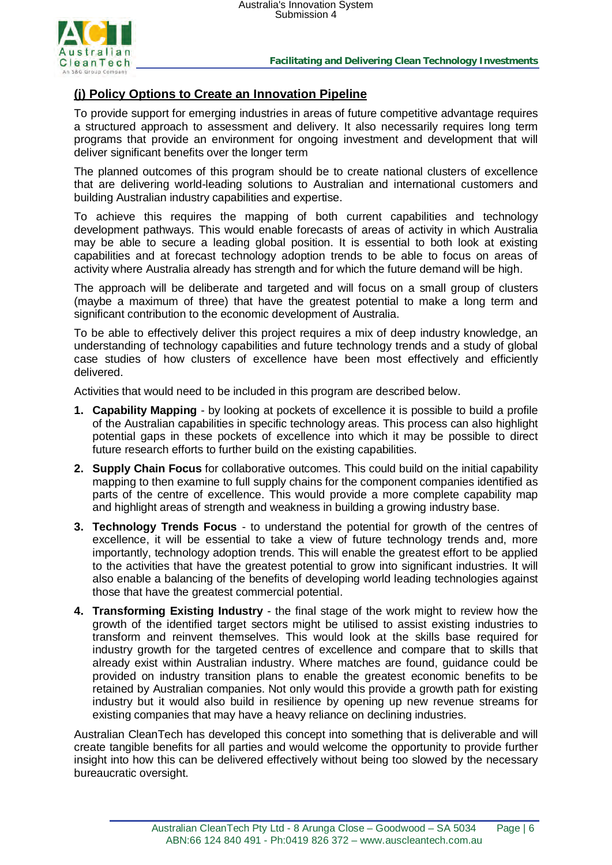

## **(j) Policy Options to Create an Innovation Pipeline**

To provide support for emerging industries in areas of future competitive advantage requires a structured approach to assessment and delivery. It also necessarily requires long term programs that provide an environment for ongoing investment and development that will deliver significant benefits over the longer term

The planned outcomes of this program should be to create national clusters of excellence that are delivering world-leading solutions to Australian and international customers and building Australian industry capabilities and expertise.

To achieve this requires the mapping of both current capabilities and technology development pathways. This would enable forecasts of areas of activity in which Australia may be able to secure a leading global position. It is essential to both look at existing capabilities and at forecast technology adoption trends to be able to focus on areas of activity where Australia already has strength and for which the future demand will be high.

The approach will be deliberate and targeted and will focus on a small group of clusters (maybe a maximum of three) that have the greatest potential to make a long term and significant contribution to the economic development of Australia.

To be able to effectively deliver this project requires a mix of deep industry knowledge, an understanding of technology capabilities and future technology trends and a study of global case studies of how clusters of excellence have been most effectively and efficiently delivered.

Activities that would need to be included in this program are described below.

- **1. Capability Mapping** by looking at pockets of excellence it is possible to build a profile of the Australian capabilities in specific technology areas. This process can also highlight potential gaps in these pockets of excellence into which it may be possible to direct future research efforts to further build on the existing capabilities.
- **2. Supply Chain Focus** for collaborative outcomes. This could build on the initial capability mapping to then examine to full supply chains for the component companies identified as parts of the centre of excellence. This would provide a more complete capability map and highlight areas of strength and weakness in building a growing industry base.
- **3. Technology Trends Focus** to understand the potential for growth of the centres of excellence, it will be essential to take a view of future technology trends and, more importantly, technology adoption trends. This will enable the greatest effort to be applied to the activities that have the greatest potential to grow into significant industries. It will also enable a balancing of the benefits of developing world leading technologies against those that have the greatest commercial potential.
- **4. Transforming Existing Industry** the final stage of the work might to review how the growth of the identified target sectors might be utilised to assist existing industries to transform and reinvent themselves. This would look at the skills base required for industry growth for the targeted centres of excellence and compare that to skills that already exist within Australian industry. Where matches are found, guidance could be provided on industry transition plans to enable the greatest economic benefits to be retained by Australian companies. Not only would this provide a growth path for existing industry but it would also build in resilience by opening up new revenue streams for existing companies that may have a heavy reliance on declining industries.

Australian CleanTech has developed this concept into something that is deliverable and will create tangible benefits for all parties and would welcome the opportunity to provide further insight into how this can be delivered effectively without being too slowed by the necessary bureaucratic oversight.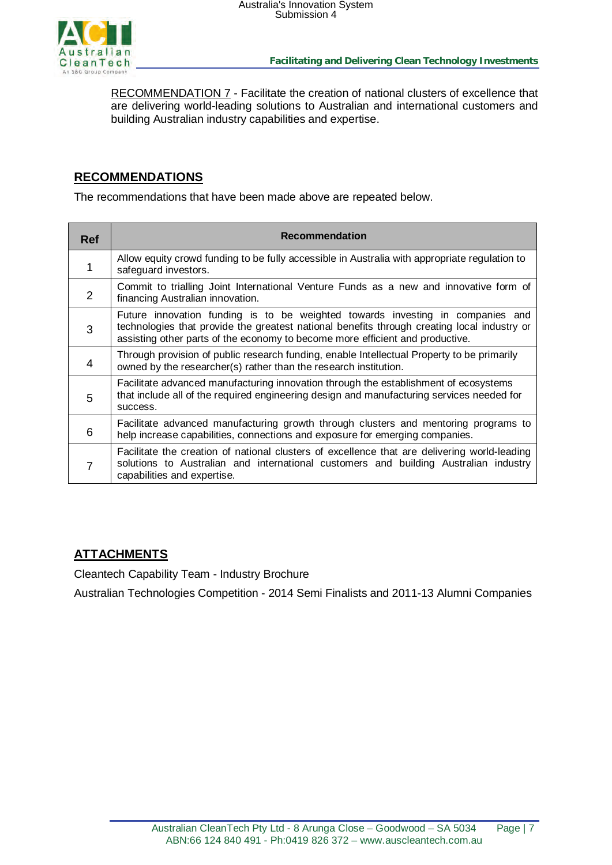

RECOMMENDATION 7 - Facilitate the creation of national clusters of excellence that are delivering world-leading solutions to Australian and international customers and building Australian industry capabilities and expertise.

## **RECOMMENDATIONS**

The recommendations that have been made above are repeated below.

| <b>Ref</b> | <b>Recommendation</b>                                                                                                                                                                                                                                          |
|------------|----------------------------------------------------------------------------------------------------------------------------------------------------------------------------------------------------------------------------------------------------------------|
|            | Allow equity crowd funding to be fully accessible in Australia with appropriate regulation to<br>safeguard investors.                                                                                                                                          |
| 2          | Commit to trialling Joint International Venture Funds as a new and innovative form of<br>financing Australian innovation.                                                                                                                                      |
| 3          | Future innovation funding is to be weighted towards investing in companies and<br>technologies that provide the greatest national benefits through creating local industry or<br>assisting other parts of the economy to become more efficient and productive. |
| 4          | Through provision of public research funding, enable Intellectual Property to be primarily<br>owned by the researcher(s) rather than the research institution.                                                                                                 |
| 5          | Facilitate advanced manufacturing innovation through the establishment of ecosystems<br>that include all of the required engineering design and manufacturing services needed for<br>success.                                                                  |
| 6          | Facilitate advanced manufacturing growth through clusters and mentoring programs to<br>help increase capabilities, connections and exposure for emerging companies.                                                                                            |
| 7          | Facilitate the creation of national clusters of excellence that are delivering world-leading<br>solutions to Australian and international customers and building Australian industry<br>capabilities and expertise.                                            |

# **ATTACHMENTS**

Cleantech Capability Team - Industry Brochure

Australian Technologies Competition - 2014 Semi Finalists and 2011-13 Alumni Companies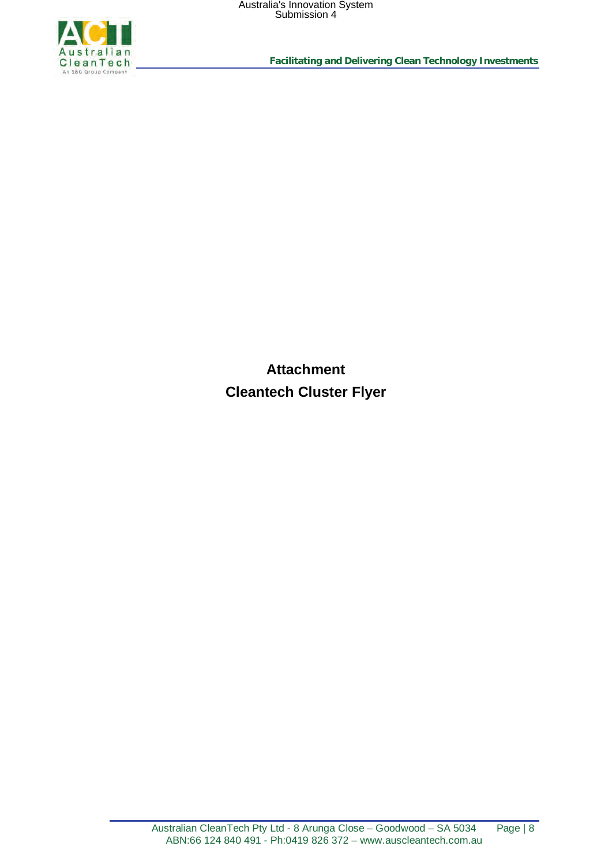

**Facilitating and Delivering Clean Technology Investments**

**Attachment Cleantech Cluster Flyer**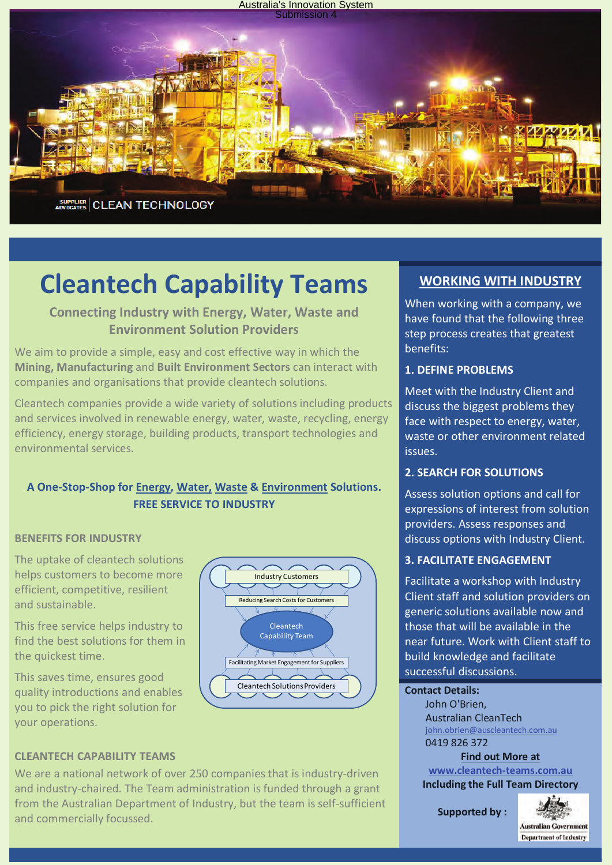

# **Cleantech Capability Teams**

# **Connecting Industry with Energy, Water, Waste and Environment Solution Providers**

We aim to provide a simple, easy and cost effective way in which the **Mining, Manufacturing** and **Built Environment Sectors** can interact with companies and organisations that provide cleantech solutions.

Cleantech companies provide a wide variety of solutions including products and services involved in renewable energy, water, waste, recycling, energy efficiency, energy storage, building products, transport technologies and environmental services.

# **A One-Stop-Shop for Energy, Water, Waste & Environment Solutions. FREE SERVICE TO INDUSTRY**

### **BENEFITS FOR INDUSTRY**

The uptake of cleantech solutions helps customers to become more efficient, competitive, resilient and sustainable.

This free service helps industry to find the best solutions for them in the quickest time.

This saves time, ensures good quality introductions and enables you to pick the right solution for your operations.



### **CLEANTECH CAPABILITY TEAMS**

We are a national network of over 250 companies that is industry-driven and industry-chaired. The Team administration is funded through a grant from the Australian Department of Industry, but the team is self-sufficient and commercially focussed.

# **WORKING WITH INDUSTRY**

When working with a company, we have found that the following three step process creates that greatest benefits:

#### **1. DEFINE PROBLEMS**

Meet with the Industry Client and discuss the biggest problems they face with respect to energy, water, waste or other environment related issues.

#### **2. SEARCH FOR SOLUTIONS**

Assess solution options and call for expressions of interest from solution providers. Assess responses and discuss options with Industry Client.

### **3. FACILITATE ENGAGEMENT**

Facilitate a workshop with Industry Client staff and solution providers on generic solutions available now and those that will be available in the near future. Work with Client staff to build knowledge and facilitate successful discussions.

#### **Contact Details:**

John O'Brien, Australian CleanTech [john.obrien@auscleantech.com.au](mailto:john.obrien@auscleantech.com.au)  0419 826 372

**Find out More at [www.cleantech-teams.com.au](http://www.cleantech-teams.com.au/)  Including the Full Team Directory**

**Supported by :** 

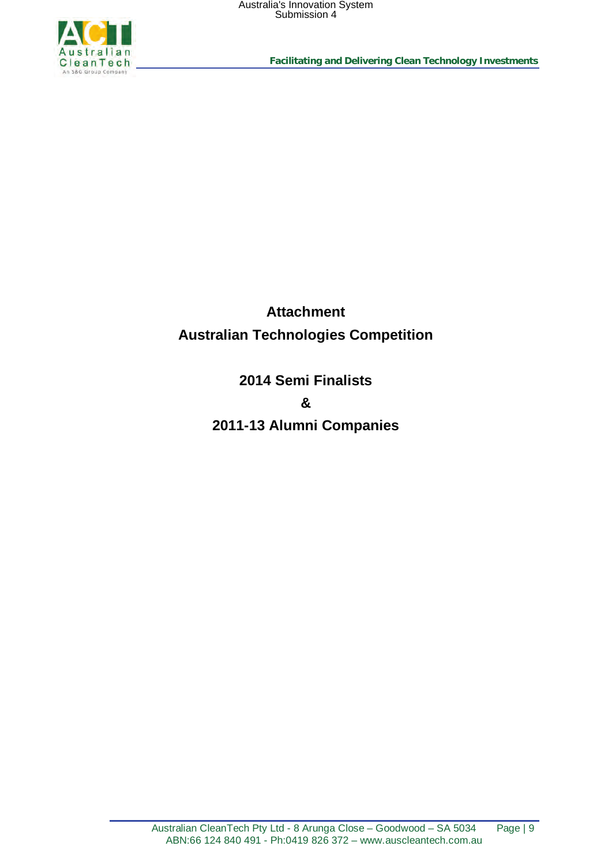

**Facilitating and Delivering Clean Technology Investments**

**Attachment Australian Technologies Competition**

> **2014 Semi Finalists & 2011-13 Alumni Companies**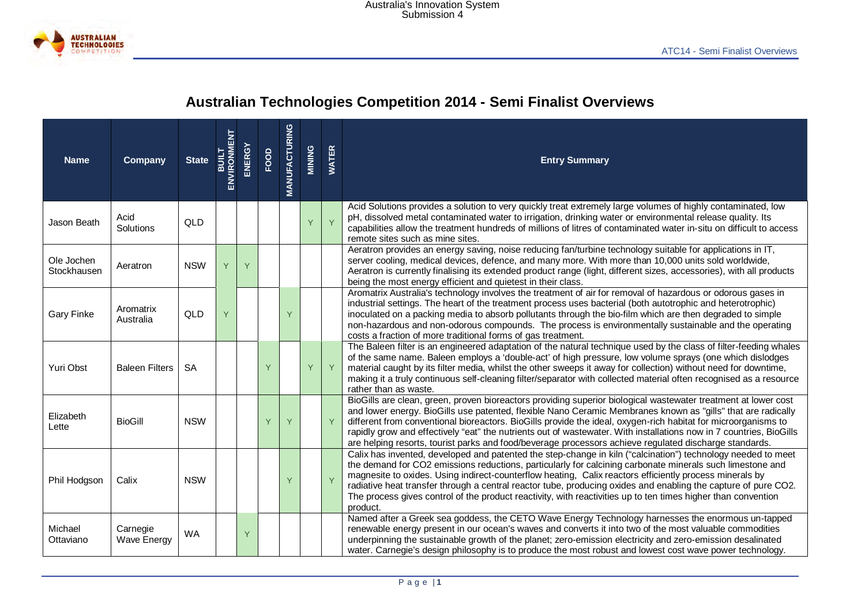

# **Australian Technologies Competition 2014 - Semi Finalist Overviews**

| <b>Name</b>               | Company                        | <b>State</b> | <b>ENVIRONMENT</b><br>ENVIRONMENT | <b>ENERGY</b> | FOOD                                                  | <b>MANUFACTURING</b> | MINING                                                                                                                                                                                                                                                                                                                                             | <b>WATER</b> | <b>Entry Summary</b>                                                                                                                                                                                                                                                                                                                                                                                                                                                                                                                                                                |  |
|---------------------------|--------------------------------|--------------|-----------------------------------|---------------|-------------------------------------------------------|----------------------|----------------------------------------------------------------------------------------------------------------------------------------------------------------------------------------------------------------------------------------------------------------------------------------------------------------------------------------------------|--------------|-------------------------------------------------------------------------------------------------------------------------------------------------------------------------------------------------------------------------------------------------------------------------------------------------------------------------------------------------------------------------------------------------------------------------------------------------------------------------------------------------------------------------------------------------------------------------------------|--|
| Jason Beath               | Acid<br>Solutions              | QLD          |                                   |               | $\mathsf{Y}$<br>Y<br>remote sites such as mine sites. |                      | Acid Solutions provides a solution to very quickly treat extremely large volumes of highly contaminated, low<br>pH, dissolved metal contaminated water to irrigation, drinking water or environmental release quality. Its<br>capabilities allow the treatment hundreds of millions of litres of contaminated water in-situ on difficult to access |              |                                                                                                                                                                                                                                                                                                                                                                                                                                                                                                                                                                                     |  |
| Ole Jochen<br>Stockhausen | Aeratron                       | <b>NSW</b>   | Y                                 | Y             |                                                       |                      |                                                                                                                                                                                                                                                                                                                                                    |              | Aeratron provides an energy saving, noise reducing fan/turbine technology suitable for applications in IT,<br>server cooling, medical devices, defence, and many more. With more than 10,000 units sold worldwide,<br>Aeratron is currently finalising its extended product range (light, different sizes, accessories), with all products<br>being the most energy efficient and quietest in their class.                                                                                                                                                                          |  |
| <b>Gary Finke</b>         | Aromatrix<br>Australia         | QLD          | Y                                 |               |                                                       | Y                    |                                                                                                                                                                                                                                                                                                                                                    |              | Aromatrix Australia's technology involves the treatment of air for removal of hazardous or odorous gases in<br>industrial settings. The heart of the treatment process uses bacterial (both autotrophic and heterotrophic)<br>inoculated on a packing media to absorb pollutants through the bio-film which are then degraded to simple<br>non-hazardous and non-odorous compounds. The process is environmentally sustainable and the operating<br>costs a fraction of more traditional forms of gas treatment.                                                                    |  |
| Yuri Obst                 | <b>Baleen Filters</b>          | <b>SA</b>    |                                   |               | Y                                                     |                      | Y                                                                                                                                                                                                                                                                                                                                                  | Y            | The Baleen filter is an engineered adaptation of the natural technique used by the class of filter-feeding whales<br>of the same name. Baleen employs a 'double-act' of high pressure, low volume sprays (one which dislodges<br>material caught by its filter media, whilst the other sweeps it away for collection) without need for downtime,<br>making it a truly continuous self-cleaning filter/separator with collected material often recognised as a resource<br>rather than as waste.                                                                                     |  |
| Elizabeth<br>Lette        | <b>BioGill</b>                 | <b>NSW</b>   |                                   |               | Y                                                     | Y                    |                                                                                                                                                                                                                                                                                                                                                    | Y            | BioGills are clean, green, proven bioreactors providing superior biological wastewater treatment at lower cost<br>and lower energy. BioGills use patented, flexible Nano Ceramic Membranes known as "gills" that are radically<br>different from conventional bioreactors. BioGills provide the ideal, oxygen-rich habitat for microorganisms to<br>rapidly grow and effectively "eat" the nutrients out of wastewater. With installations now in 7 countries, BioGills<br>are helping resorts, tourist parks and food/beverage processors achieve regulated discharge standards.   |  |
| Phil Hodgson              | Calix                          | <b>NSW</b>   |                                   |               |                                                       | Y                    |                                                                                                                                                                                                                                                                                                                                                    | Y            | Calix has invented, developed and patented the step-change in kiln ("calcination") technology needed to meet<br>the demand for CO2 emissions reductions, particularly for calcining carbonate minerals such limestone and<br>magnesite to oxides. Using indirect-counterflow heating, Calix reactors efficiently process minerals by<br>radiative heat transfer through a central reactor tube, producing oxides and enabling the capture of pure CO2.<br>The process gives control of the product reactivity, with reactivities up to ten times higher than convention<br>product. |  |
| Michael<br>Ottaviano      | Carnegie<br><b>Wave Energy</b> | <b>WA</b>    |                                   | Y             |                                                       |                      |                                                                                                                                                                                                                                                                                                                                                    |              | Named after a Greek sea goddess, the CETO Wave Energy Technology harnesses the enormous un-tapped<br>renewable energy present in our ocean's waves and converts it into two of the most valuable commodities<br>underpinning the sustainable growth of the planet; zero-emission electricity and zero-emission desalinated<br>water. Carnegie's design philosophy is to produce the most robust and lowest cost wave power technology.                                                                                                                                              |  |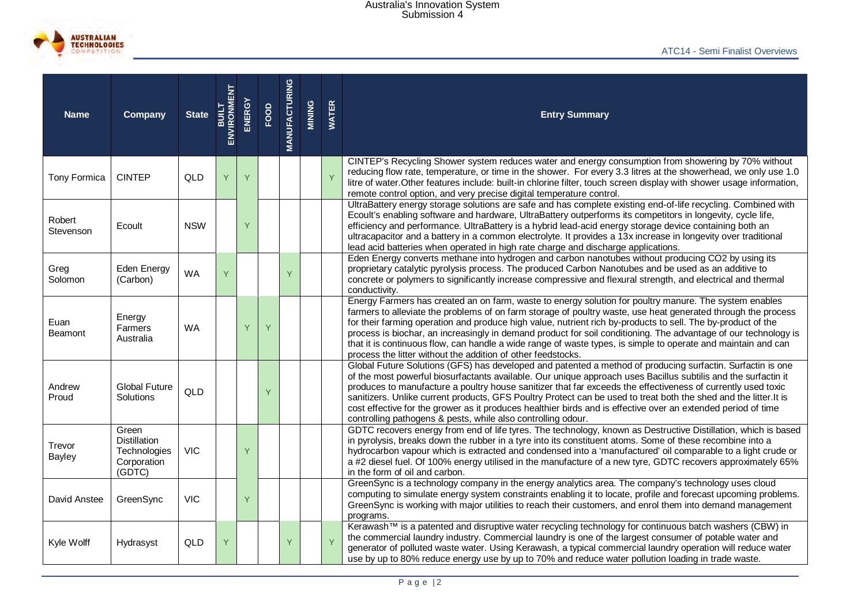

| <b>Name</b>             | <b>Company</b>                                                        | <b>State</b> | <b>ENVIRONMENT</b><br>ENVIRONMENT | ENERGY | FOOD | <b>MANUFACTURING</b> | MINING | <b>WATER</b>                                                                                                                                                                                                                                                                                                               | <b>Entry Summary</b>                                                                                                                                                                                                                                                                                                                                                                                                                                                                                                                                                                                                                              |  |
|-------------------------|-----------------------------------------------------------------------|--------------|-----------------------------------|--------|------|----------------------|--------|----------------------------------------------------------------------------------------------------------------------------------------------------------------------------------------------------------------------------------------------------------------------------------------------------------------------------|---------------------------------------------------------------------------------------------------------------------------------------------------------------------------------------------------------------------------------------------------------------------------------------------------------------------------------------------------------------------------------------------------------------------------------------------------------------------------------------------------------------------------------------------------------------------------------------------------------------------------------------------------|--|
| Tony Formica            | <b>CINTEP</b>                                                         | QLD          | Y                                 | Y      |      |                      |        | Y                                                                                                                                                                                                                                                                                                                          | CINTEP's Recycling Shower system reduces water and energy consumption from showering by 70% without<br>reducing flow rate, temperature, or time in the shower. For every 3.3 litres at the showerhead, we only use 1.0<br>litre of water. Other features include: built-in chlorine filter, touch screen display with shower usage information,<br>remote control option, and very precise digital temperature control.                                                                                                                                                                                                                           |  |
| Robert<br>Stevenson     | Ecoult                                                                | <b>NSW</b>   |                                   | Ÿ      |      |                      |        |                                                                                                                                                                                                                                                                                                                            | UltraBattery energy storage solutions are safe and has complete existing end-of-life recycling. Combined with<br>Ecoult's enabling software and hardware, UltraBattery outperforms its competitors in longevity, cycle life,<br>efficiency and performance. UltraBattery is a hybrid lead-acid energy storage device containing both an<br>ultracapacitor and a battery in a common electrolyte. It provides a 13x increase in longevity over traditional<br>lead acid batteries when operated in high rate charge and discharge applications.                                                                                                    |  |
| Greg<br>Solomon         | Eden Energy<br>(Carbon)                                               | <b>WA</b>    | Y                                 |        |      | Y<br>conductivity.   |        | Eden Energy converts methane into hydrogen and carbon nanotubes without producing CO2 by using its<br>proprietary catalytic pyrolysis process. The produced Carbon Nanotubes and be used as an additive to<br>concrete or polymers to significantly increase compressive and flexural strength, and electrical and thermal |                                                                                                                                                                                                                                                                                                                                                                                                                                                                                                                                                                                                                                                   |  |
| Euan<br>Beamont         | Energy<br><b>Farmers</b><br>Australia                                 | <b>WA</b>    |                                   | Y      | Y    |                      |        |                                                                                                                                                                                                                                                                                                                            | Energy Farmers has created an on farm, waste to energy solution for poultry manure. The system enables<br>farmers to alleviate the problems of on farm storage of poultry waste, use heat generated through the process<br>for their farming operation and produce high value, nutrient rich by-products to sell. The by-product of the<br>process is biochar, an increasingly in demand product for soil conditioning. The advantage of our technology is<br>that it is continuous flow, can handle a wide range of waste types, is simple to operate and maintain and can<br>process the litter without the addition of other feedstocks.       |  |
| Andrew<br>Proud         | <b>Global Future</b><br>Solutions                                     | QLD          |                                   |        | Y    |                      |        |                                                                                                                                                                                                                                                                                                                            | Global Future Solutions (GFS) has developed and patented a method of producing surfactin. Surfactin is one<br>of the most powerful biosurfactants available. Our unique approach uses Bacillus subtilis and the surfactin it<br>produces to manufacture a poultry house sanitizer that far exceeds the effectiveness of currently used toxic<br>sanitizers. Unlike current products, GFS Poultry Protect can be used to treat both the shed and the litter.It is<br>cost effective for the grower as it produces healthier birds and is effective over an extended period of time<br>controlling pathogens & pests, while also controlling odour. |  |
| Trevor<br><b>Bayley</b> | Green<br><b>Distillation</b><br>Technologies<br>Corporation<br>(GDTC) | <b>VIC</b>   |                                   | Y      |      |                      |        |                                                                                                                                                                                                                                                                                                                            | GDTC recovers energy from end of life tyres. The technology, known as Destructive Distillation, which is based<br>in pyrolysis, breaks down the rubber in a tyre into its constituent atoms. Some of these recombine into a<br>hydrocarbon vapour which is extracted and condensed into a 'manufactured' oil comparable to a light crude or<br>a #2 diesel fuel. Of 100% energy utilised in the manufacture of a new tyre, GDTC recovers approximately 65%<br>in the form of oil and carbon.                                                                                                                                                      |  |
| David Anstee            | GreenSync                                                             | <b>VIC</b>   |                                   | Y      |      |                      |        |                                                                                                                                                                                                                                                                                                                            | GreenSync is a technology company in the energy analytics area. The company's technology uses cloud<br>computing to simulate energy system constraints enabling it to locate, profile and forecast upcoming problems.<br>GreenSync is working with major utilities to reach their customers, and enrol them into demand management<br>programs.                                                                                                                                                                                                                                                                                                   |  |
| Kyle Wolff              | Hydrasyst                                                             | QLD          | Y                                 |        |      | Y                    |        | $\overline{Y}$                                                                                                                                                                                                                                                                                                             | Kerawash™ is a patented and disruptive water recycling technology for continuous batch washers (CBW) in<br>the commercial laundry industry. Commercial laundry is one of the largest consumer of potable water and<br>generator of polluted waste water. Using Kerawash, a typical commercial laundry operation will reduce water<br>use by up to 80% reduce energy use by up to 70% and reduce water pollution loading in trade waste.                                                                                                                                                                                                           |  |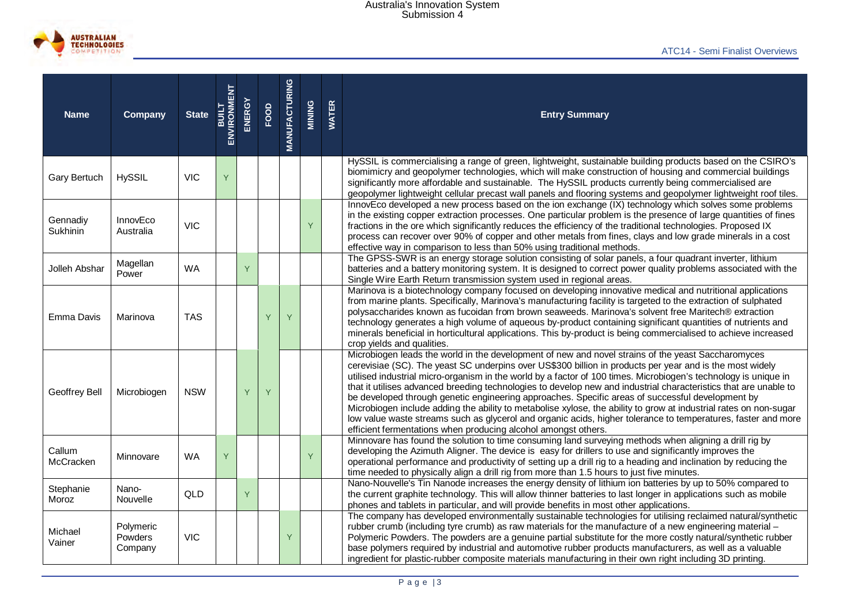

| <b>Name</b>          | Company                         | <b>State</b> | <b>ENVIRONMENT</b><br>ENVIRONMENT | ENERGY | FOOD | <b>MANUFACTURING</b> | MINING | <b>WATER</b> | <b>Entry Summary</b>                                                                                                                                                                                                                                                                                                                                                                                                                                                                                                                                                                                                                                                                                                                                                                                                                                              |  |  |
|----------------------|---------------------------------|--------------|-----------------------------------|--------|------|----------------------|--------|--------------|-------------------------------------------------------------------------------------------------------------------------------------------------------------------------------------------------------------------------------------------------------------------------------------------------------------------------------------------------------------------------------------------------------------------------------------------------------------------------------------------------------------------------------------------------------------------------------------------------------------------------------------------------------------------------------------------------------------------------------------------------------------------------------------------------------------------------------------------------------------------|--|--|
| Gary Bertuch         | <b>HySSIL</b>                   | <b>VIC</b>   | Y                                 |        |      |                      |        |              | HySSIL is commercialising a range of green, lightweight, sustainable building products based on the CSIRO's<br>biomimicry and geopolymer technologies, which will make construction of housing and commercial buildings<br>significantly more affordable and sustainable. The HySSIL products currently being commercialised are<br>geopolymer lightweight cellular precast wall panels and flooring systems and geopolymer lightweight roof tiles.                                                                                                                                                                                                                                                                                                                                                                                                               |  |  |
| Gennadiy<br>Sukhinin | InnovEco<br>Australia           | <b>VIC</b>   |                                   |        |      |                      | Y      |              | InnovEco developed a new process based on the ion exchange (IX) technology which solves some problems<br>in the existing copper extraction processes. One particular problem is the presence of large quantities of fines<br>fractions in the ore which significantly reduces the efficiency of the traditional technologies. Proposed IX<br>process can recover over 90% of copper and other metals from fines, clays and low grade minerals in a cost<br>effective way in comparison to less than 50% using traditional methods.                                                                                                                                                                                                                                                                                                                                |  |  |
| Jolleh Abshar        | Magellan<br>Power               | <b>WA</b>    |                                   | Y      |      |                      |        |              | The GPSS-SWR is an energy storage solution consisting of solar panels, a four quadrant inverter, lithium<br>batteries and a battery monitoring system. It is designed to correct power quality problems associated with the<br>Single Wire Earth Return transmission system used in regional areas.                                                                                                                                                                                                                                                                                                                                                                                                                                                                                                                                                               |  |  |
| Emma Davis           | Marinova                        | <b>TAS</b>   |                                   |        | Y    | Y                    |        |              | Marinova is a biotechnology company focused on developing innovative medical and nutritional applications<br>from marine plants. Specifically, Marinova's manufacturing facility is targeted to the extraction of sulphated<br>polysaccharides known as fucoidan from brown seaweeds. Marinova's solvent free Maritech® extraction<br>technology generates a high volume of aqueous by-product containing significant quantities of nutrients and<br>minerals beneficial in horticultural applications. This by-product is being commercialised to achieve increased<br>crop yields and qualities.                                                                                                                                                                                                                                                                |  |  |
| Geoffrey Bell        | Microbiogen                     | <b>NSW</b>   |                                   | Y      |      |                      |        |              | Microbiogen leads the world in the development of new and novel strains of the yeast Saccharomyces<br>cerevisiae (SC). The yeast SC underpins over US\$300 billion in products per year and is the most widely<br>utilised industrial micro-organism in the world by a factor of 100 times. Microbiogen's technology is unique in<br>that it utilises advanced breeding technologies to develop new and industrial characteristics that are unable to<br>be developed through genetic engineering approaches. Specific areas of successful development by<br>Microbiogen include adding the ability to metabolise xylose, the ability to grow at industrial rates on non-sugar<br>low value waste streams such as glycerol and organic acids, higher tolerance to temperatures, faster and more<br>efficient fermentations when producing alcohol amongst others. |  |  |
| Callum<br>McCracken  | Minnovare                       | <b>WA</b>    | Y                                 |        |      |                      | Ÿ      |              | Minnovare has found the solution to time consuming land surveying methods when aligning a drill rig by<br>developing the Azimuth Aligner. The device is easy for drillers to use and significantly improves the<br>operational performance and productivity of setting up a drill rig to a heading and inclination by reducing the<br>time needed to physically align a drill rig from more than 1.5 hours to just five minutes.                                                                                                                                                                                                                                                                                                                                                                                                                                  |  |  |
| Stephanie<br>Moroz   | Nano-<br>Nouvelle               | QLD          |                                   | Y      |      |                      |        |              | Nano-Nouvelle's Tin Nanode increases the energy density of lithium ion batteries by up to 50% compared to<br>the current graphite technology. This will allow thinner batteries to last longer in applications such as mobile<br>phones and tablets in particular, and will provide benefits in most other applications.                                                                                                                                                                                                                                                                                                                                                                                                                                                                                                                                          |  |  |
| Michael<br>Vainer    | Polymeric<br>Powders<br>Company | <b>VIC</b>   |                                   |        |      | Y                    |        |              | The company has developed environmentally sustainable technologies for utilising reclaimed natural/synthetic<br>rubber crumb (including tyre crumb) as raw materials for the manufacture of a new engineering material -<br>Polymeric Powders. The powders are a genuine partial substitute for the more costly natural/synthetic rubber<br>base polymers required by industrial and automotive rubber products manufacturers, as well as a valuable<br>ingredient for plastic-rubber composite materials manufacturing in their own right including 3D printing.                                                                                                                                                                                                                                                                                                 |  |  |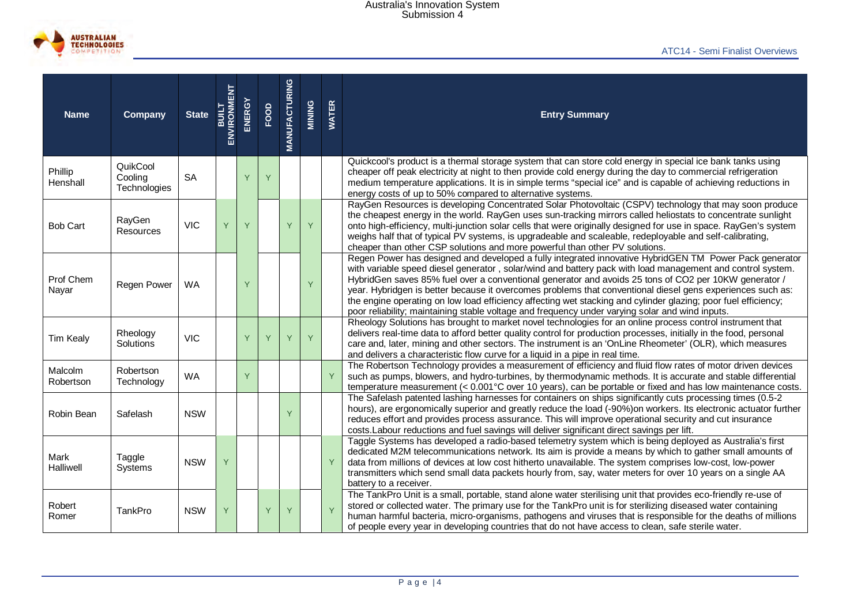

| <b>Name</b>          | Company                             | <b>State</b> | <b>ENVIRONMENT</b><br>ENVIRONMENT | ENERGY | FOOD | <b>MANUFACTURING</b> | MINING | <b>WATER</b> | <b>Entry Summary</b>                                                                                                                                                                                                                                                                                                                                                                                                                                                                                                                                                                                                                                             |
|----------------------|-------------------------------------|--------------|-----------------------------------|--------|------|----------------------|--------|--------------|------------------------------------------------------------------------------------------------------------------------------------------------------------------------------------------------------------------------------------------------------------------------------------------------------------------------------------------------------------------------------------------------------------------------------------------------------------------------------------------------------------------------------------------------------------------------------------------------------------------------------------------------------------------|
| Phillip<br>Henshall  | QuikCool<br>Cooling<br>Technologies | <b>SA</b>    |                                   | Ÿ      | Y    |                      |        |              | Quickcool's product is a thermal storage system that can store cold energy in special ice bank tanks using<br>cheaper off peak electricity at night to then provide cold energy during the day to commercial refrigeration<br>medium temperature applications. It is in simple terms "special ice" and is capable of achieving reductions in<br>energy costs of up to 50% compared to alternative systems.                                                                                                                                                                                                                                                       |
| <b>Bob Cart</b>      | RayGen<br>Resources                 | <b>VIC</b>   | Y                                 | Y      |      | Y                    | Y      |              | RayGen Resources is developing Concentrated Solar Photovoltaic (CSPV) technology that may soon produce<br>the cheapest energy in the world. RayGen uses sun-tracking mirrors called heliostats to concentrate sunlight<br>onto high-efficiency, multi-junction solar cells that were originally designed for use in space. RayGen's system<br>weighs half that of typical PV systems, is upgradeable and scaleable, redeployable and self-calibrating,<br>cheaper than other CSP solutions and more powerful than other PV solutions.                                                                                                                            |
| Prof Chem<br>Nayar   | Regen Power                         | <b>WA</b>    |                                   |        |      |                      | Ÿ      |              | Regen Power has designed and developed a fully integrated innovative HybridGEN TM Power Pack generator<br>with variable speed diesel generator, solar/wind and battery pack with load management and control system.<br>HybridGen saves 85% fuel over a conventional generator and avoids 25 tons of CO2 per 10KW generator /<br>year. Hybridgen is better because it overcomes problems that conventional diesel gens experiences such as:<br>the engine operating on low load efficiency affecting wet stacking and cylinder glazing; poor fuel efficiency;<br>poor reliability; maintaining stable voltage and frequency under varying solar and wind inputs. |
| <b>Tim Kealy</b>     | Rheology<br>Solutions               | <b>VIC</b>   |                                   | Y      | Y    | Y                    | Y      |              | Rheology Solutions has brought to market novel technologies for an online process control instrument that<br>delivers real-time data to afford better quality control for production processes, initially in the food, personal<br>care and, later, mining and other sectors. The instrument is an 'OnLine Rheometer' (OLR), which measures<br>and delivers a characteristic flow curve for a liquid in a pipe in real time.                                                                                                                                                                                                                                     |
| Malcolm<br>Robertson | Robertson<br>Technology             | <b>WA</b>    |                                   | Y      |      |                      |        | Y            | The Robertson Technology provides a measurement of efficiency and fluid flow rates of motor driven devices<br>such as pumps, blowers, and hydro-turbines, by thermodynamic methods. It is accurate and stable differential<br>temperature measurement (< 0.001°C over 10 years), can be portable or fixed and has low maintenance costs.                                                                                                                                                                                                                                                                                                                         |
| Robin Bean           | Safelash                            | <b>NSW</b>   |                                   |        |      | Y                    |        |              | The Safelash patented lashing harnesses for containers on ships significantly cuts processing times (0.5-2<br>hours), are ergonomically superior and greatly reduce the load (-90%) on workers. Its electronic actuator further<br>reduces effort and provides process assurance. This will improve operational security and cut insurance<br>costs. Labour reductions and fuel savings will deliver significant direct savings per lift.                                                                                                                                                                                                                        |
| Mark<br>Halliwell    | Taggle<br><b>Systems</b>            | <b>NSW</b>   | Y                                 |        |      |                      |        | Y            | Taggle Systems has developed a radio-based telemetry system which is being deployed as Australia's first<br>dedicated M2M telecommunications network. Its aim is provide a means by which to gather small amounts of<br>data from millions of devices at low cost hitherto unavailable. The system comprises low-cost, low-power<br>transmitters which send small data packets hourly from, say, water meters for over 10 years on a single AA<br>battery to a receiver.                                                                                                                                                                                         |
| Robert<br>Romer      | TankPro                             | <b>NSW</b>   | Y                                 |        | Y    | Y                    |        | Y            | The TankPro Unit is a small, portable, stand alone water sterilising unit that provides eco-friendly re-use of<br>stored or collected water. The primary use for the TankPro unit is for sterilizing diseased water containing<br>human harmful bacteria, micro-organisms, pathogens and viruses that is responsible for the deaths of millions<br>of people every year in developing countries that do not have access to clean, safe sterile water.                                                                                                                                                                                                            |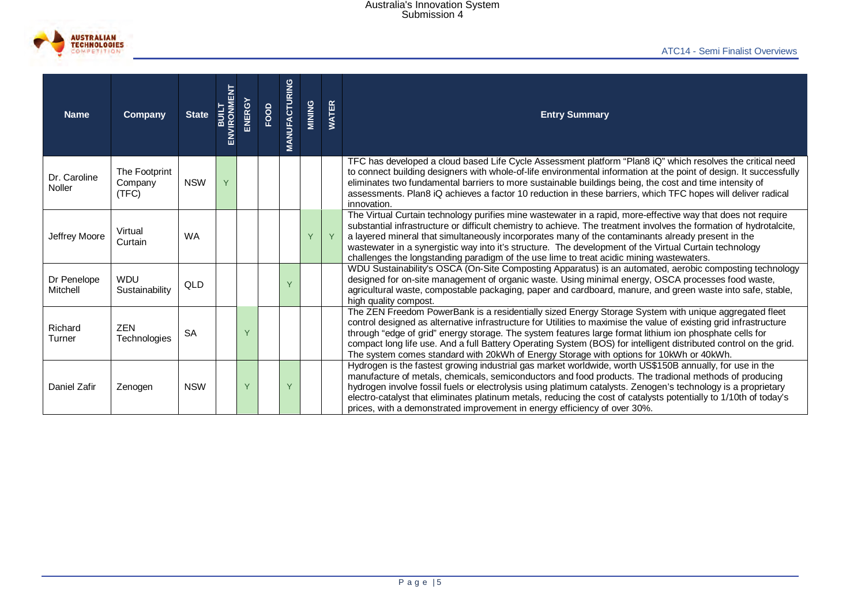

| <b>Name</b>              | Company                           | State<br>BULT<br>ENVIRONMENT |   | ENERGY | FOOD | <b>MANUFACTURING</b> | MINING                                                                                                                                                                                                                                                                                                                                               | <b>WATER</b>                                                                                                                                                                                                                                                                                                                                                                                                                                                                                                                                           | <b>Entry Summary</b>                                                                                                                                                                                                                                                                                                                                                                                                                                                                                                                            |
|--------------------------|-----------------------------------|------------------------------|---|--------|------|----------------------|------------------------------------------------------------------------------------------------------------------------------------------------------------------------------------------------------------------------------------------------------------------------------------------------------------------------------------------------------|--------------------------------------------------------------------------------------------------------------------------------------------------------------------------------------------------------------------------------------------------------------------------------------------------------------------------------------------------------------------------------------------------------------------------------------------------------------------------------------------------------------------------------------------------------|-------------------------------------------------------------------------------------------------------------------------------------------------------------------------------------------------------------------------------------------------------------------------------------------------------------------------------------------------------------------------------------------------------------------------------------------------------------------------------------------------------------------------------------------------|
| Dr. Caroline<br>Noller   | The Footprint<br>Company<br>(TFC) | <b>NSW</b>                   | Y |        |      |                      |                                                                                                                                                                                                                                                                                                                                                      |                                                                                                                                                                                                                                                                                                                                                                                                                                                                                                                                                        | TFC has developed a cloud based Life Cycle Assessment platform "Plan8 iQ" which resolves the critical need<br>to connect building designers with whole-of-life environmental information at the point of design. It successfully<br>eliminates two fundamental barriers to more sustainable buildings being, the cost and time intensity of<br>assessments. Plan8 iQ achieves a factor 10 reduction in these barriers, which TFC hopes will deliver radical<br>innovation.                                                                      |
| Jeffrey Moore            | Virtual<br>Curtain                | <b>WA</b>                    |   |        |      |                      | Y                                                                                                                                                                                                                                                                                                                                                    | Y                                                                                                                                                                                                                                                                                                                                                                                                                                                                                                                                                      | The Virtual Curtain technology purifies mine wastewater in a rapid, more-effective way that does not require<br>substantial infrastructure or difficult chemistry to achieve. The treatment involves the formation of hydrotalcite,<br>a layered mineral that simultaneously incorporates many of the contaminants already present in the<br>wastewater in a synergistic way into it's structure. The development of the Virtual Curtain technology<br>challenges the longstanding paradigm of the use lime to treat acidic mining wastewaters. |
| Dr Penelope<br>Mitchell  | <b>WDU</b><br>Sustainability      | QLD                          |   |        |      |                      | WDU Sustainability's OSCA (On-Site Composting Apparatus) is an automated, aerobic composting technology<br>designed for on-site management of organic waste. Using minimal energy, OSCA processes food waste,<br>agricultural waste, compostable packaging, paper and cardboard, manure, and green waste into safe, stable,<br>high quality compost. |                                                                                                                                                                                                                                                                                                                                                                                                                                                                                                                                                        |                                                                                                                                                                                                                                                                                                                                                                                                                                                                                                                                                 |
| Richard<br><b>Turner</b> | <b>ZEN</b><br>Technologies        | <b>SA</b>                    |   |        |      |                      |                                                                                                                                                                                                                                                                                                                                                      | The ZEN Freedom PowerBank is a residentially sized Energy Storage System with unique aggregated fleet<br>control designed as alternative infrastructure for Utilities to maximise the value of existing grid infrastructure<br>through "edge of grid" energy storage. The system features large format lithium ion phosphate cells for<br>compact long life use. And a full Battery Operating System (BOS) for intelligent distributed control on the grid.<br>The system comes standard with 20kWh of Energy Storage with options for 10kWh or 40kWh. |                                                                                                                                                                                                                                                                                                                                                                                                                                                                                                                                                 |
| Daniel Zafir             | Zenogen                           | <b>NSW</b>                   |   | Y      |      | Y                    |                                                                                                                                                                                                                                                                                                                                                      |                                                                                                                                                                                                                                                                                                                                                                                                                                                                                                                                                        | Hydrogen is the fastest growing industrial gas market worldwide, worth US\$150B annually, for use in the<br>manufacture of metals, chemicals, semiconductors and food products. The tradional methods of producing<br>hydrogen involve fossil fuels or electrolysis using platimum catalysts. Zenogen's technology is a proprietary<br>electro-catalyst that eliminates platinum metals, reducing the cost of catalysts potentially to 1/10th of today's<br>prices, with a demonstrated improvement in energy efficiency of over 30%.           |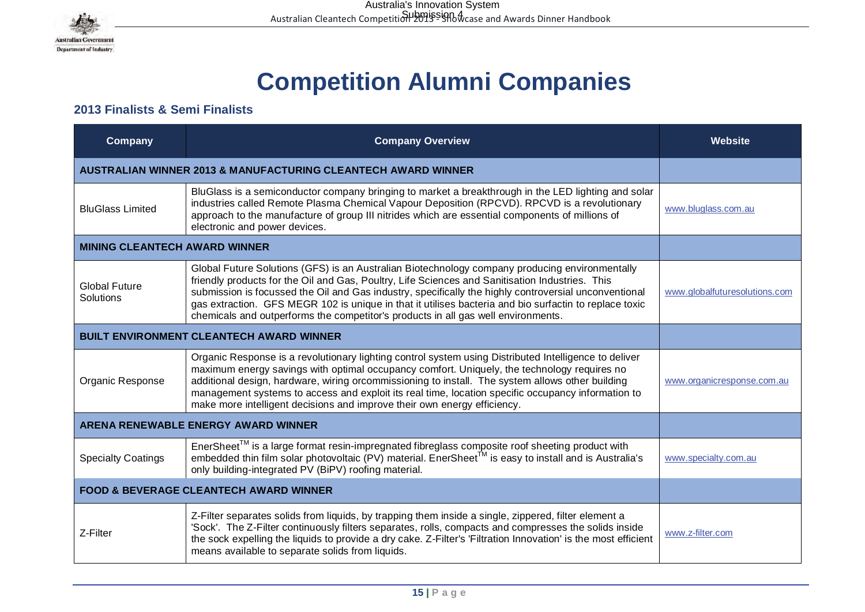

# **Competition Alumni Companies**

## **2013 Finalists & Semi Finalists**

| Company                                         | <b>Company Overview</b>                                                                                                                                                                                                                                                                                                                                                                                                                                                                                   | <b>Website</b>                |
|-------------------------------------------------|-----------------------------------------------------------------------------------------------------------------------------------------------------------------------------------------------------------------------------------------------------------------------------------------------------------------------------------------------------------------------------------------------------------------------------------------------------------------------------------------------------------|-------------------------------|
|                                                 | <b>AUSTRALIAN WINNER 2013 &amp; MANUFACTURING CLEANTECH AWARD WINNER</b>                                                                                                                                                                                                                                                                                                                                                                                                                                  |                               |
| <b>BluGlass Limited</b>                         | BluGlass is a semiconductor company bringing to market a breakthrough in the LED lighting and solar<br>industries called Remote Plasma Chemical Vapour Deposition (RPCVD). RPCVD is a revolutionary<br>approach to the manufacture of group III nitrides which are essential components of millions of<br>electronic and power devices.                                                                                                                                                                   | www.bluglass.com.au           |
| <b>MINING CLEANTECH AWARD WINNER</b>            |                                                                                                                                                                                                                                                                                                                                                                                                                                                                                                           |                               |
| <b>Global Future</b><br>Solutions               | Global Future Solutions (GFS) is an Australian Biotechnology company producing environmentally<br>friendly products for the Oil and Gas, Poultry, Life Sciences and Sanitisation Industries. This<br>submission is focussed the Oil and Gas industry, specifically the highly controversial unconventional<br>gas extraction. GFS MEGR 102 is unique in that it utilises bacteria and bio surfactin to replace toxic<br>chemicals and outperforms the competitor's products in all gas well environments. | www.globalfuturesolutions.com |
| <b>BUILT ENVIRONMENT CLEANTECH AWARD WINNER</b> |                                                                                                                                                                                                                                                                                                                                                                                                                                                                                                           |                               |
| Organic Response                                | Organic Response is a revolutionary lighting control system using Distributed Intelligence to deliver<br>maximum energy savings with optimal occupancy comfort. Uniquely, the technology requires no<br>additional design, hardware, wiring orcommissioning to install. The system allows other building<br>management systems to access and exploit its real time, location specific occupancy information to<br>make more intelligent decisions and improve their own energy efficiency.                | www.organicresponse.com.au    |
|                                                 | <b>ARENA RENEWABLE ENERGY AWARD WINNER</b>                                                                                                                                                                                                                                                                                                                                                                                                                                                                |                               |
| <b>Specialty Coatings</b>                       | EnerSheet <sup>™</sup> is a large format resin-impregnated fibreglass composite roof sheeting product with embedded thin film solar photovoltaic (PV) material. EnerSheet <sup>™</sup> is easy to install and is Australia's<br>only building-integrated PV (BiPV) roofing material.                                                                                                                                                                                                                      | www.specialty.com.au          |
|                                                 | <b>FOOD &amp; BEVERAGE CLEANTECH AWARD WINNER</b>                                                                                                                                                                                                                                                                                                                                                                                                                                                         |                               |
| Z-Filter                                        | Z-Filter separates solids from liquids, by trapping them inside a single, zippered, filter element a<br>'Sock'. The Z-Filter continuously filters separates, rolls, compacts and compresses the solids inside<br>the sock expelling the liquids to provide a dry cake. Z-Filter's 'Filtration Innovation' is the most efficient<br>means available to separate solids from liquids.                                                                                                                       | www.z-filter.com              |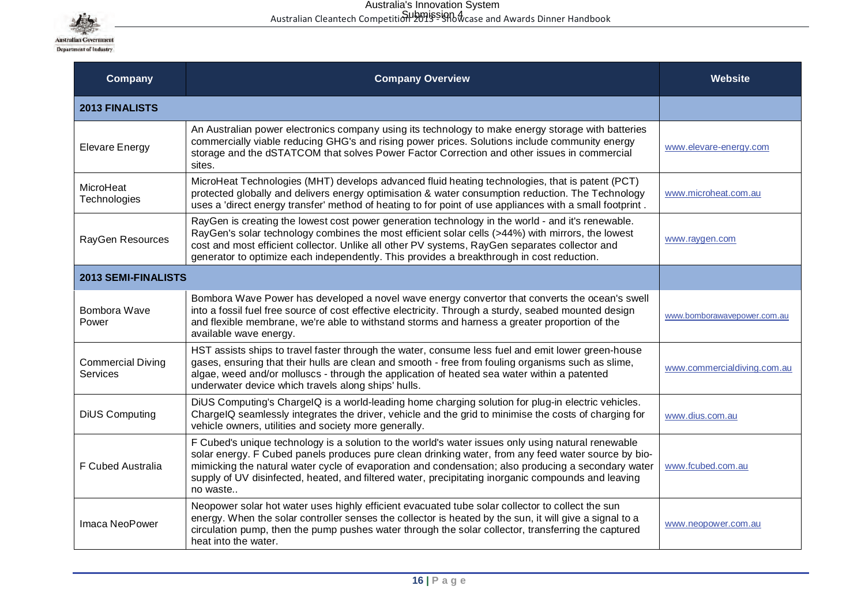

| Company                              | <b>Company Overview</b>                                                                                                                                                                                                                                                                                                                                                                                                             | <b>Website</b>              |
|--------------------------------------|-------------------------------------------------------------------------------------------------------------------------------------------------------------------------------------------------------------------------------------------------------------------------------------------------------------------------------------------------------------------------------------------------------------------------------------|-----------------------------|
| <b>2013 FINALISTS</b>                |                                                                                                                                                                                                                                                                                                                                                                                                                                     |                             |
| <b>Elevare Energy</b>                | An Australian power electronics company using its technology to make energy storage with batteries<br>commercially viable reducing GHG's and rising power prices. Solutions include community energy<br>storage and the dSTATCOM that solves Power Factor Correction and other issues in commercial<br>sites.                                                                                                                       | www.elevare-energy.com      |
| MicroHeat<br>Technologies            | MicroHeat Technologies (MHT) develops advanced fluid heating technologies, that is patent (PCT)<br>protected globally and delivers energy optimisation & water consumption reduction. The Technology<br>uses a 'direct energy transfer' method of heating to for point of use appliances with a small footprint.                                                                                                                    | www.microheat.com.au        |
| RayGen Resources                     | RayGen is creating the lowest cost power generation technology in the world - and it's renewable.<br>RayGen's solar technology combines the most efficient solar cells (>44%) with mirrors, the lowest<br>cost and most efficient collector. Unlike all other PV systems, RayGen separates collector and<br>generator to optimize each independently. This provides a breakthrough in cost reduction.                               | www.raygen.com              |
| <b>2013 SEMI-FINALISTS</b>           |                                                                                                                                                                                                                                                                                                                                                                                                                                     |                             |
| Bombora Wave<br>Power                | Bombora Wave Power has developed a novel wave energy convertor that converts the ocean's swell<br>into a fossil fuel free source of cost effective electricity. Through a sturdy, seabed mounted design<br>and flexible membrane, we're able to withstand storms and harness a greater proportion of the<br>available wave energy.                                                                                                  | www.bomborawavepower.com.au |
| <b>Commercial Diving</b><br>Services | HST assists ships to travel faster through the water, consume less fuel and emit lower green-house<br>gases, ensuring that their hulls are clean and smooth - free from fouling organisms such as slime,<br>algae, weed and/or molluscs - through the application of heated sea water within a patented<br>underwater device which travels along ships' hulls.                                                                      | www.commercialdiving.com.au |
| <b>DiUS Computing</b>                | DiUS Computing's ChargeIQ is a world-leading home charging solution for plug-in electric vehicles.<br>ChargelQ seamlessly integrates the driver, vehicle and the grid to minimise the costs of charging for<br>vehicle owners, utilities and society more generally.                                                                                                                                                                | www.dius.com.au             |
| F Cubed Australia                    | F Cubed's unique technology is a solution to the world's water issues only using natural renewable<br>solar energy. F Cubed panels produces pure clean drinking water, from any feed water source by bio-<br>mimicking the natural water cycle of evaporation and condensation; also producing a secondary water<br>supply of UV disinfected, heated, and filtered water, precipitating inorganic compounds and leaving<br>no waste | www.fcubed.com.au           |
| Imaca NeoPower                       | Neopower solar hot water uses highly efficient evacuated tube solar collector to collect the sun<br>energy. When the solar controller senses the collector is heated by the sun, it will give a signal to a<br>circulation pump, then the pump pushes water through the solar collector, transferring the captured<br>heat into the water.                                                                                          | www.neopower.com.au         |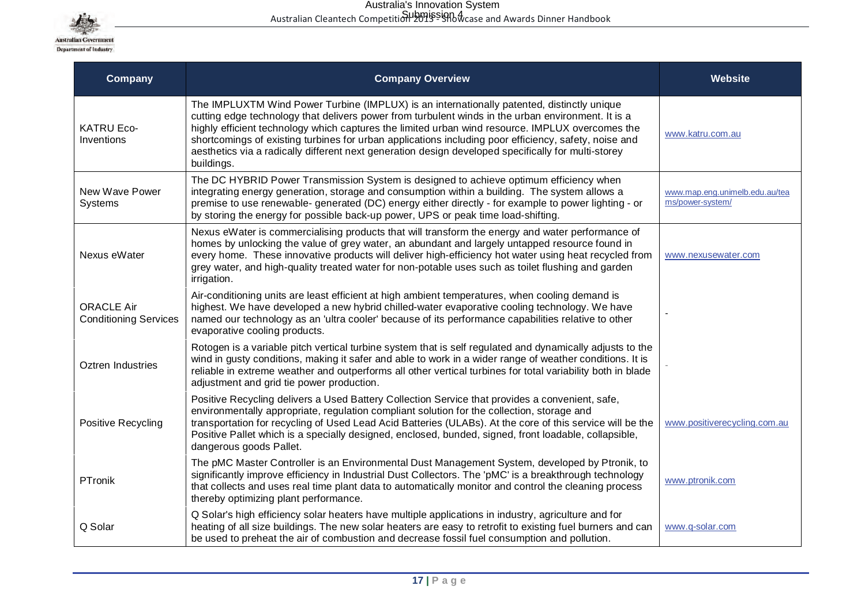

| Company                                           | <b>Company Overview</b>                                                                                                                                                                                                                                                                                                                                                                                                                                                                                                            | <b>Website</b>                                     |
|---------------------------------------------------|------------------------------------------------------------------------------------------------------------------------------------------------------------------------------------------------------------------------------------------------------------------------------------------------------------------------------------------------------------------------------------------------------------------------------------------------------------------------------------------------------------------------------------|----------------------------------------------------|
| <b>KATRU Eco-</b><br>Inventions                   | The IMPLUXTM Wind Power Turbine (IMPLUX) is an internationally patented, distinctly unique<br>cutting edge technology that delivers power from turbulent winds in the urban environment. It is a<br>highly efficient technology which captures the limited urban wind resource. IMPLUX overcomes the<br>shortcomings of existing turbines for urban applications including poor efficiency, safety, noise and<br>aesthetics via a radically different next generation design developed specifically for multi-storey<br>buildings. | www.katru.com.au                                   |
| New Wave Power<br>Systems                         | The DC HYBRID Power Transmission System is designed to achieve optimum efficiency when<br>integrating energy generation, storage and consumption within a building. The system allows a<br>premise to use renewable- generated (DC) energy either directly - for example to power lighting - or<br>by storing the energy for possible back-up power, UPS or peak time load-shifting.                                                                                                                                               | www.map.eng.unimelb.edu.au/tea<br>ms/power-system/ |
| Nexus eWater                                      | Nexus eWater is commercialising products that will transform the energy and water performance of<br>homes by unlocking the value of grey water, an abundant and largely untapped resource found in<br>every home. These innovative products will deliver high-efficiency hot water using heat recycled from<br>grey water, and high-quality treated water for non-potable uses such as toilet flushing and garden<br>irrigation.                                                                                                   | www.nexusewater.com                                |
| <b>ORACLE Air</b><br><b>Conditioning Services</b> | Air-conditioning units are least efficient at high ambient temperatures, when cooling demand is<br>highest. We have developed a new hybrid chilled-water evaporative cooling technology. We have<br>named our technology as an 'ultra cooler' because of its performance capabilities relative to other<br>evaporative cooling products.                                                                                                                                                                                           |                                                    |
| Oztren Industries                                 | Rotogen is a variable pitch vertical turbine system that is self regulated and dynamically adjusts to the<br>wind in gusty conditions, making it safer and able to work in a wider range of weather conditions. It is<br>reliable in extreme weather and outperforms all other vertical turbines for total variability both in blade<br>adjustment and grid tie power production.                                                                                                                                                  |                                                    |
| Positive Recycling                                | Positive Recycling delivers a Used Battery Collection Service that provides a convenient, safe,<br>environmentally appropriate, regulation compliant solution for the collection, storage and<br>transportation for recycling of Used Lead Acid Batteries (ULABs). At the core of this service will be the<br>Positive Pallet which is a specially designed, enclosed, bunded, signed, front loadable, collapsible,<br>dangerous goods Pallet.                                                                                     | www.positiverecycling.com.au                       |
| PTronik                                           | The pMC Master Controller is an Environmental Dust Management System, developed by Ptronik, to<br>significantly improve efficiency in Industrial Dust Collectors. The 'pMC' is a breakthrough technology<br>that collects and uses real time plant data to automatically monitor and control the cleaning process<br>thereby optimizing plant performance.                                                                                                                                                                         | www.ptronik.com                                    |
| Q Solar                                           | Q Solar's high efficiency solar heaters have multiple applications in industry, agriculture and for<br>heating of all size buildings. The new solar heaters are easy to retrofit to existing fuel burners and can<br>be used to preheat the air of combustion and decrease fossil fuel consumption and pollution.                                                                                                                                                                                                                  | www.q-solar.com                                    |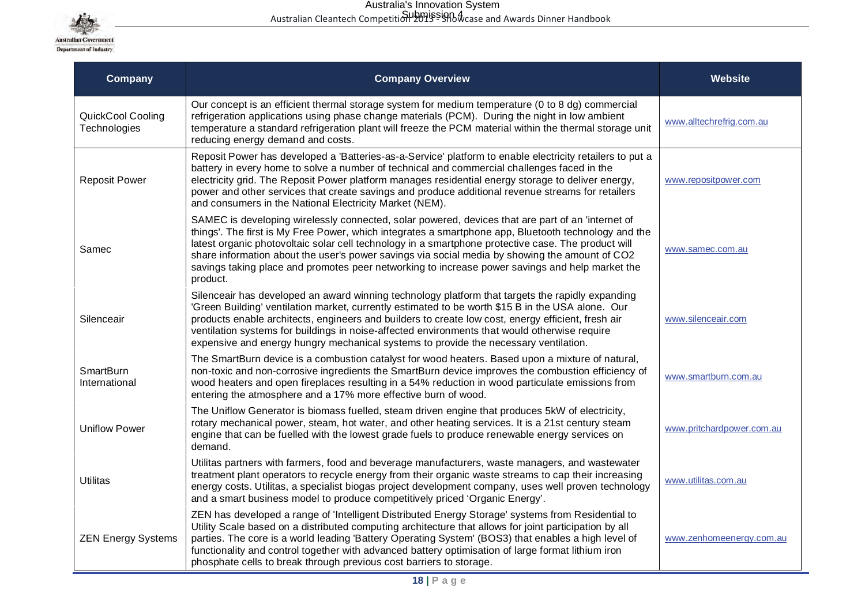

| <b>Company</b>                    | <b>Company Overview</b>                                                                                                                                                                                                                                                                                                                                                                                                                                                                                                           | Website                   |
|-----------------------------------|-----------------------------------------------------------------------------------------------------------------------------------------------------------------------------------------------------------------------------------------------------------------------------------------------------------------------------------------------------------------------------------------------------------------------------------------------------------------------------------------------------------------------------------|---------------------------|
| QuickCool Cooling<br>Technologies | Our concept is an efficient thermal storage system for medium temperature (0 to 8 dg) commercial<br>refrigeration applications using phase change materials (PCM). During the night in low ambient<br>temperature a standard refrigeration plant will freeze the PCM material within the thermal storage unit<br>reducing energy demand and costs.                                                                                                                                                                                | www.alltechrefrig.com.au  |
| <b>Reposit Power</b>              | Reposit Power has developed a 'Batteries-as-a-Service' platform to enable electricity retailers to put a<br>battery in every home to solve a number of technical and commercial challenges faced in the<br>electricity grid. The Reposit Power platform manages residential energy storage to deliver energy,<br>power and other services that create savings and produce additional revenue streams for retailers<br>and consumers in the National Electricity Market (NEM).                                                     | www.repositpower.com      |
| Samec                             | SAMEC is developing wirelessly connected, solar powered, devices that are part of an 'internet of<br>things'. The first is My Free Power, which integrates a smartphone app, Bluetooth technology and the<br>latest organic photovoltaic solar cell technology in a smartphone protective case. The product will<br>share information about the user's power savings via social media by showing the amount of CO2<br>savings taking place and promotes peer networking to increase power savings and help market the<br>product. | www.samec.com.au          |
| Silenceair                        | Silenceair has developed an award winning technology platform that targets the rapidly expanding<br>'Green Building' ventilation market, currently estimated to be worth \$15 B in the USA alone. Our<br>products enable architects, engineers and builders to create low cost, energy efficient, fresh air<br>ventilation systems for buildings in noise-affected environments that would otherwise require<br>expensive and energy hungry mechanical systems to provide the necessary ventilation.                              | www.silenceair.com        |
| <b>SmartBurn</b><br>International | The SmartBurn device is a combustion catalyst for wood heaters. Based upon a mixture of natural,<br>non-toxic and non-corrosive ingredients the SmartBurn device improves the combustion efficiency of<br>wood heaters and open fireplaces resulting in a 54% reduction in wood particulate emissions from<br>entering the atmosphere and a 17% more effective burn of wood.                                                                                                                                                      | www.smartburn.com.au      |
| <b>Uniflow Power</b>              | The Uniflow Generator is biomass fuelled, steam driven engine that produces 5kW of electricity,<br>rotary mechanical power, steam, hot water, and other heating services. It is a 21st century steam<br>engine that can be fuelled with the lowest grade fuels to produce renewable energy services on<br>demand.                                                                                                                                                                                                                 | www.pritchardpower.com.au |
| Utilitas                          | Utilitas partners with farmers, food and beverage manufacturers, waste managers, and wastewater<br>treatment plant operators to recycle energy from their organic waste streams to cap their increasing<br>energy costs. Utilitas, a specialist biogas project development company, uses well proven technology<br>and a smart business model to produce competitively priced 'Organic Energy'.                                                                                                                                   | www.utilitas.com.au       |
| <b>ZEN Energy Systems</b>         | ZEN has developed a range of 'Intelligent Distributed Energy Storage' systems from Residential to<br>Utility Scale based on a distributed computing architecture that allows for joint participation by all<br>parties. The core is a world leading 'Battery Operating System' (BOS3) that enables a high level of<br>functionality and control together with advanced battery optimisation of large format lithium iron<br>phosphate cells to break through previous cost barriers to storage.                                   | www.zenhomeenergy.com.au  |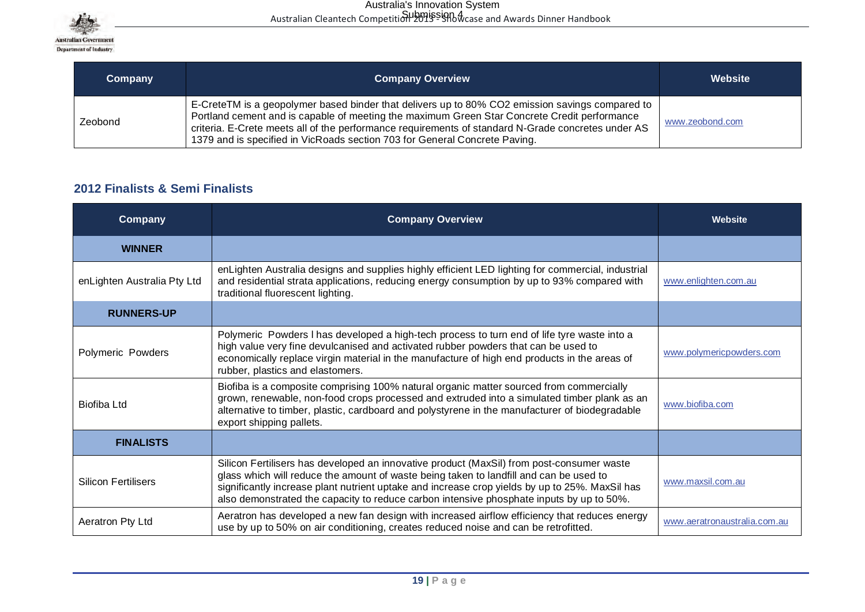

| <b>Company</b> | <b>Company Overview</b>                                                                                                                                                                                                                                                                                                                                                             | Website         |
|----------------|-------------------------------------------------------------------------------------------------------------------------------------------------------------------------------------------------------------------------------------------------------------------------------------------------------------------------------------------------------------------------------------|-----------------|
| Zeobond        | E-CreteTM is a geopolymer based binder that delivers up to 80% CO2 emission savings compared to<br>Portland cement and is capable of meeting the maximum Green Star Concrete Credit performance<br>criteria. E-Crete meets all of the performance requirements of standard N-Grade concretes under AS<br>1379 and is specified in VicRoads section 703 for General Concrete Paving. | www.zeobond.com |

## **2012 Finalists & Semi Finalists**

| <b>Company</b>              | <b>Company Overview</b>                                                                                                                                                                                                                                                                                                                                                           | <b>Website</b>               |
|-----------------------------|-----------------------------------------------------------------------------------------------------------------------------------------------------------------------------------------------------------------------------------------------------------------------------------------------------------------------------------------------------------------------------------|------------------------------|
| <b>WINNER</b>               |                                                                                                                                                                                                                                                                                                                                                                                   |                              |
| enLighten Australia Pty Ltd | enLighten Australia designs and supplies highly efficient LED lighting for commercial, industrial<br>and residential strata applications, reducing energy consumption by up to 93% compared with<br>traditional fluorescent lighting.                                                                                                                                             | www.enlighten.com.au         |
| <b>RUNNERS-UP</b>           |                                                                                                                                                                                                                                                                                                                                                                                   |                              |
| Polymeric Powders           | Polymeric Powders I has developed a high-tech process to turn end of life tyre waste into a<br>high value very fine devulcanised and activated rubber powders that can be used to<br>economically replace virgin material in the manufacture of high end products in the areas of<br>rubber, plastics and elastomers.                                                             | www.polymericpowders.com     |
| Biofiba Ltd                 | Biofiba is a composite comprising 100% natural organic matter sourced from commercially<br>grown, renewable, non-food crops processed and extruded into a simulated timber plank as an<br>alternative to timber, plastic, cardboard and polystyrene in the manufacturer of biodegradable<br>export shipping pallets.                                                              | www.biofiba.com              |
| <b>FINALISTS</b>            |                                                                                                                                                                                                                                                                                                                                                                                   |                              |
| <b>Silicon Fertilisers</b>  | Silicon Fertilisers has developed an innovative product (MaxSil) from post-consumer waste<br>glass which will reduce the amount of waste being taken to landfill and can be used to<br>significantly increase plant nutrient uptake and increase crop yields by up to 25%. MaxSil has<br>also demonstrated the capacity to reduce carbon intensive phosphate inputs by up to 50%. | www.maxsil.com.au            |
| Aeratron Pty Ltd            | Aeratron has developed a new fan design with increased airflow efficiency that reduces energy<br>use by up to 50% on air conditioning, creates reduced noise and can be retrofitted.                                                                                                                                                                                              | www.aeratronaustralia.com.au |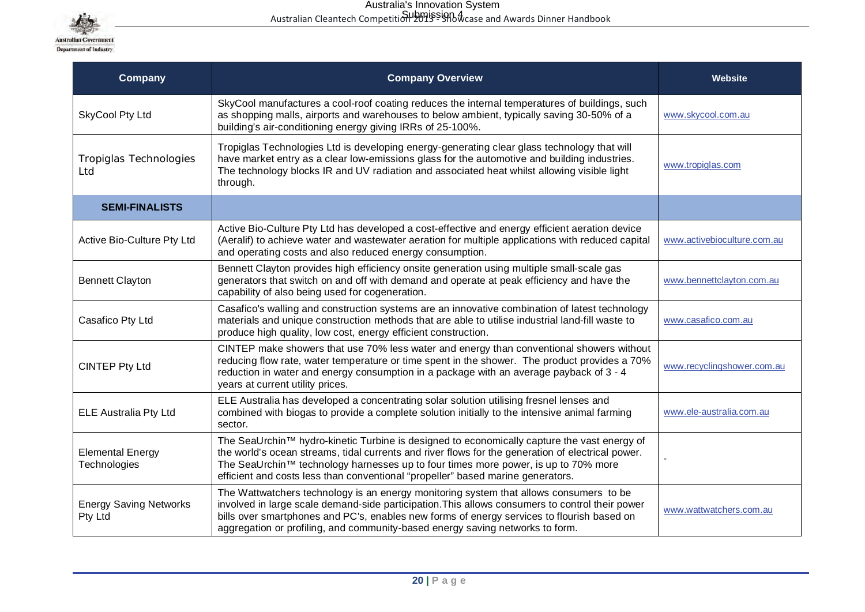

| <b>Company</b>                           | <b>Company Overview</b>                                                                                                                                                                                                                                                                                                                                                   | Website                     |
|------------------------------------------|---------------------------------------------------------------------------------------------------------------------------------------------------------------------------------------------------------------------------------------------------------------------------------------------------------------------------------------------------------------------------|-----------------------------|
| SkyCool Pty Ltd                          | SkyCool manufactures a cool-roof coating reduces the internal temperatures of buildings, such<br>as shopping malls, airports and warehouses to below ambient, typically saving 30-50% of a<br>building's air-conditioning energy giving IRRs of 25-100%.                                                                                                                  | www.skycool.com.au          |
| Tropiglas Technologies<br>Ltd            | Tropiglas Technologies Ltd is developing energy-generating clear glass technology that will<br>have market entry as a clear low-emissions glass for the automotive and building industries.<br>The technology blocks IR and UV radiation and associated heat whilst allowing visible light<br>through.                                                                    | www.tropiglas.com           |
| <b>SEMI-FINALISTS</b>                    |                                                                                                                                                                                                                                                                                                                                                                           |                             |
| Active Bio-Culture Pty Ltd               | Active Bio-Culture Pty Ltd has developed a cost-effective and energy efficient aeration device<br>(Aeralif) to achieve water and wastewater aeration for multiple applications with reduced capital<br>and operating costs and also reduced energy consumption.                                                                                                           | www.activebioculture.com.au |
| <b>Bennett Clayton</b>                   | Bennett Clayton provides high efficiency onsite generation using multiple small-scale gas<br>generators that switch on and off with demand and operate at peak efficiency and have the<br>capability of also being used for cogeneration.                                                                                                                                 | www.bennettclayton.com.au   |
| Casafico Pty Ltd                         | Casafico's walling and construction systems are an innovative combination of latest technology<br>materials and unique construction methods that are able to utilise industrial land-fill waste to<br>produce high quality, low cost, energy efficient construction.                                                                                                      | www.casafico.com.au         |
| <b>CINTEP Pty Ltd</b>                    | CINTEP make showers that use 70% less water and energy than conventional showers without<br>reducing flow rate, water temperature or time spent in the shower. The product provides a 70%<br>reduction in water and energy consumption in a package with an average payback of 3 - 4<br>years at current utility prices.                                                  | www.recyclingshower.com.au  |
| <b>ELE Australia Pty Ltd</b>             | ELE Australia has developed a concentrating solar solution utilising fresnel lenses and<br>combined with biogas to provide a complete solution initially to the intensive animal farming<br>sector.                                                                                                                                                                       | www.ele-australia.com.au    |
| <b>Elemental Energy</b><br>Technologies  | The SeaUrchin™ hydro-kinetic Turbine is designed to economically capture the vast energy of<br>the world's ocean streams, tidal currents and river flows for the generation of electrical power.<br>The SeaUrchin™ technology harnesses up to four times more power, is up to 70% more<br>efficient and costs less than conventional "propeller" based marine generators. |                             |
| <b>Energy Saving Networks</b><br>Pty Ltd | The Wattwatchers technology is an energy monitoring system that allows consumers to be<br>involved in large scale demand-side participation. This allows consumers to control their power<br>bills over smartphones and PC's, enables new forms of energy services to flourish based on<br>aggregation or profiling, and community-based energy saving networks to form.  | www.wattwatchers.com.au     |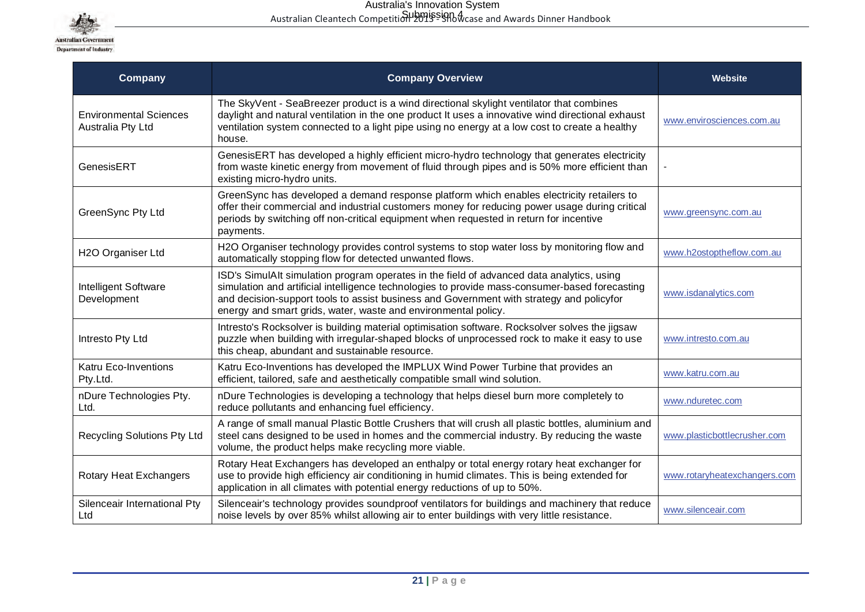

| <b>Company</b>                                     | <b>Company Overview</b>                                                                                                                                                                                                                                                                                                                                   | <b>Website</b>               |
|----------------------------------------------------|-----------------------------------------------------------------------------------------------------------------------------------------------------------------------------------------------------------------------------------------------------------------------------------------------------------------------------------------------------------|------------------------------|
| <b>Environmental Sciences</b><br>Australia Pty Ltd | The SkyVent - SeaBreezer product is a wind directional skylight ventilator that combines<br>daylight and natural ventilation in the one product It uses a innovative wind directional exhaust<br>ventilation system connected to a light pipe using no energy at a low cost to create a healthy<br>house.                                                 | www.envirosciences.com.au    |
| GenesisERT                                         | GenesisERT has developed a highly efficient micro-hydro technology that generates electricity<br>from waste kinetic energy from movement of fluid through pipes and is 50% more efficient than<br>existing micro-hydro units.                                                                                                                             |                              |
| GreenSync Pty Ltd                                  | GreenSync has developed a demand response platform which enables electricity retailers to<br>offer their commercial and industrial customers money for reducing power usage during critical<br>periods by switching off non-critical equipment when requested in return for incentive<br>payments.                                                        | www.greensync.com.au         |
| H2O Organiser Ltd                                  | H2O Organiser technology provides control systems to stop water loss by monitoring flow and<br>automatically stopping flow for detected unwanted flows.                                                                                                                                                                                                   | www.h2ostoptheflow.com.au    |
| Intelligent Software<br>Development                | ISD's SimulAlt simulation program operates in the field of advanced data analytics, using<br>simulation and artificial intelligence technologies to provide mass-consumer-based forecasting<br>and decision-support tools to assist business and Government with strategy and policyfor<br>energy and smart grids, water, waste and environmental policy. | www.isdanalytics.com         |
| Intresto Pty Ltd                                   | Intresto's Rocksolver is building material optimisation software. Rocksolver solves the jigsaw<br>puzzle when building with irregular-shaped blocks of unprocessed rock to make it easy to use<br>this cheap, abundant and sustainable resource.                                                                                                          | www.intresto.com.au          |
| Katru Eco-Inventions<br>Pty.Ltd.                   | Katru Eco-Inventions has developed the IMPLUX Wind Power Turbine that provides an<br>efficient, tailored, safe and aesthetically compatible small wind solution.                                                                                                                                                                                          | www.katru.com.au             |
| nDure Technologies Pty.<br>Ltd.                    | nDure Technologies is developing a technology that helps diesel burn more completely to<br>reduce pollutants and enhancing fuel efficiency.                                                                                                                                                                                                               | www.nduretec.com             |
| <b>Recycling Solutions Pty Ltd</b>                 | A range of small manual Plastic Bottle Crushers that will crush all plastic bottles, aluminium and<br>steel cans designed to be used in homes and the commercial industry. By reducing the waste<br>volume, the product helps make recycling more viable.                                                                                                 | www.plasticbottlecrusher.com |
| Rotary Heat Exchangers                             | Rotary Heat Exchangers has developed an enthalpy or total energy rotary heat exchanger for<br>use to provide high efficiency air conditioning in humid climates. This is being extended for<br>application in all climates with potential energy reductions of up to 50%.                                                                                 | www.rotaryheatexchangers.com |
| Silenceair International Pty<br>Ltd                | Silenceair's technology provides soundproof ventilators for buildings and machinery that reduce<br>noise levels by over 85% whilst allowing air to enter buildings with very little resistance.                                                                                                                                                           | www.silenceair.com           |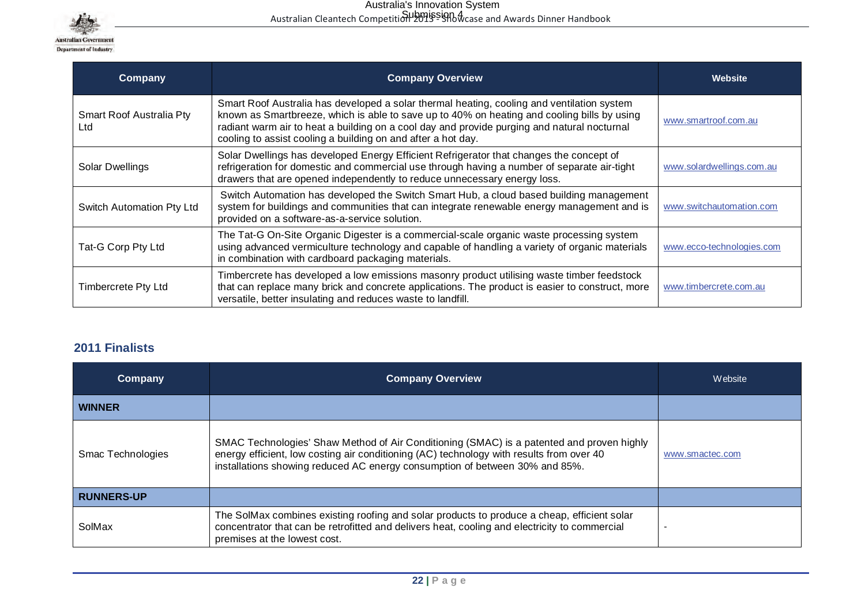

| Company                         | <b>Company Overview</b>                                                                                                                                                                                                                                                                                                                                  | Website                   |
|---------------------------------|----------------------------------------------------------------------------------------------------------------------------------------------------------------------------------------------------------------------------------------------------------------------------------------------------------------------------------------------------------|---------------------------|
| Smart Roof Australia Pty<br>Ltd | Smart Roof Australia has developed a solar thermal heating, cooling and ventilation system<br>known as Smartbreeze, which is able to save up to 40% on heating and cooling bills by using<br>radiant warm air to heat a building on a cool day and provide purging and natural nocturnal<br>cooling to assist cooling a building on and after a hot day. | www.smartroof.com.au      |
| Solar Dwellings                 | Solar Dwellings has developed Energy Efficient Refrigerator that changes the concept of<br>refrigeration for domestic and commercial use through having a number of separate air-tight<br>drawers that are opened independently to reduce unnecessary energy loss.                                                                                       | www.solardwellings.com.au |
| Switch Automation Pty Ltd       | Switch Automation has developed the Switch Smart Hub, a cloud based building management<br>system for buildings and communities that can integrate renewable energy management and is<br>provided on a software-as-a-service solution.                                                                                                                   | www.switchautomation.com  |
| Tat-G Corp Pty Ltd              | The Tat-G On-Site Organic Digester is a commercial-scale organic waste processing system<br>using advanced vermiculture technology and capable of handling a variety of organic materials<br>in combination with cardboard packaging materials.                                                                                                          | www.ecco-technologies.com |
| Timbercrete Pty Ltd             | Timbercrete has developed a low emissions masonry product utilising waste timber feedstock<br>that can replace many brick and concrete applications. The product is easier to construct, more<br>versatile, better insulating and reduces waste to landfill.                                                                                             | www.timbercrete.com.au    |

## **2011 Finalists**

| Company           | <b>Company Overview</b>                                                                                                                                                                                                                                              | Website                  |
|-------------------|----------------------------------------------------------------------------------------------------------------------------------------------------------------------------------------------------------------------------------------------------------------------|--------------------------|
| <b>WINNER</b>     |                                                                                                                                                                                                                                                                      |                          |
| Smac Technologies | SMAC Technologies' Shaw Method of Air Conditioning (SMAC) is a patented and proven highly<br>energy efficient, low costing air conditioning (AC) technology with results from over 40<br>installations showing reduced AC energy consumption of between 30% and 85%. | www.smactec.com          |
| <b>RUNNERS-UP</b> |                                                                                                                                                                                                                                                                      |                          |
| SolMax            | The SolMax combines existing roofing and solar products to produce a cheap, efficient solar<br>concentrator that can be retrofitted and delivers heat, cooling and electricity to commercial<br>premises at the lowest cost.                                         | $\overline{\phantom{0}}$ |